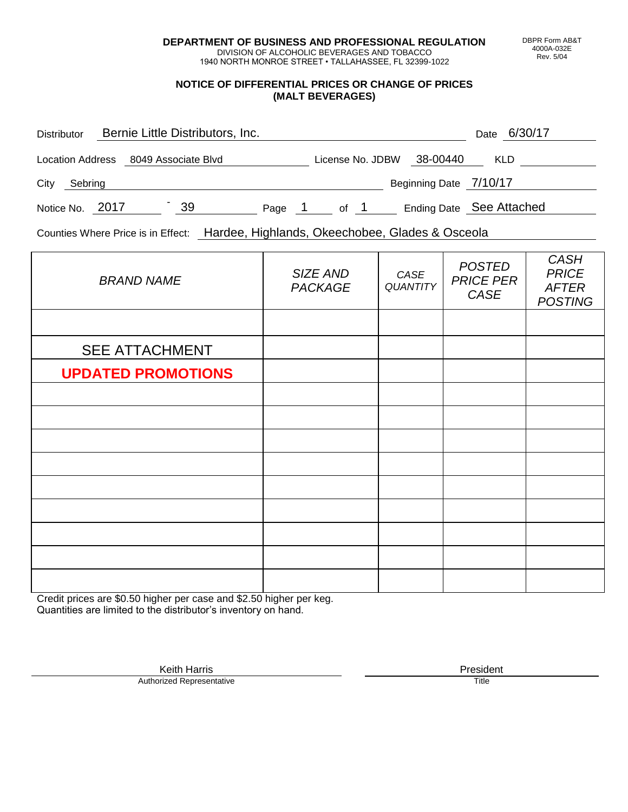**DEPARTMENT OF BUSINESS AND PROFESSIONAL REGULATION** DIVISION OF ALCOHOLIC BEVERAGES AND TOBACCO

1940 NORTH MONROE STREET • TALLAHASSEE, FL 32399-1022

## **NOTICE OF DIFFERENTIAL PRICES OR CHANGE OF PRICES (MALT BEVERAGES)**

| <b>Distributor</b> |         |  | Bernie Little Distributors, Inc.     |        |                  |      |                          | Date | 6/30/17    |  |
|--------------------|---------|--|--------------------------------------|--------|------------------|------|--------------------------|------|------------|--|
|                    |         |  | Location Address 8049 Associate Blvd |        | License No. JDBW |      | 38-00440                 |      | <b>KLD</b> |  |
| City               | Sebring |  |                                      |        |                  |      | Beginning Date 7/10/17   |      |            |  |
| Notice No. 2017    |         |  | 39                                   | Page 1 |                  | of 1 | Ending Date See Attached |      |            |  |

Counties Where Price is in Effect: Hardee, Highlands, Okeechobee, Glades & Osceola

| <b>BRAND NAME</b>         | SIZE AND<br><b>PACKAGE</b> | CASE<br>QUANTITY | <b>POSTED</b><br><b>PRICE PER</b><br>CASE | <b>CASH</b><br><b>PRICE</b><br><b>AFTER</b><br><b>POSTING</b> |
|---------------------------|----------------------------|------------------|-------------------------------------------|---------------------------------------------------------------|
|                           |                            |                  |                                           |                                                               |
| <b>SEE ATTACHMENT</b>     |                            |                  |                                           |                                                               |
| <b>UPDATED PROMOTIONS</b> |                            |                  |                                           |                                                               |
|                           |                            |                  |                                           |                                                               |
|                           |                            |                  |                                           |                                                               |
|                           |                            |                  |                                           |                                                               |
|                           |                            |                  |                                           |                                                               |
|                           |                            |                  |                                           |                                                               |
|                           |                            |                  |                                           |                                                               |
|                           |                            |                  |                                           |                                                               |
|                           |                            |                  |                                           |                                                               |
|                           |                            |                  |                                           |                                                               |

Credit prices are \$0.50 higher per case and \$2.50 higher per keg. Quantities are limited to the distributor's inventory on hand.

> Keith Harris **President**<br> **President**<br>
> Prized Representative **President Authorized Representative**

DBPR Form AB&T 4000A-032E Rev. 5/04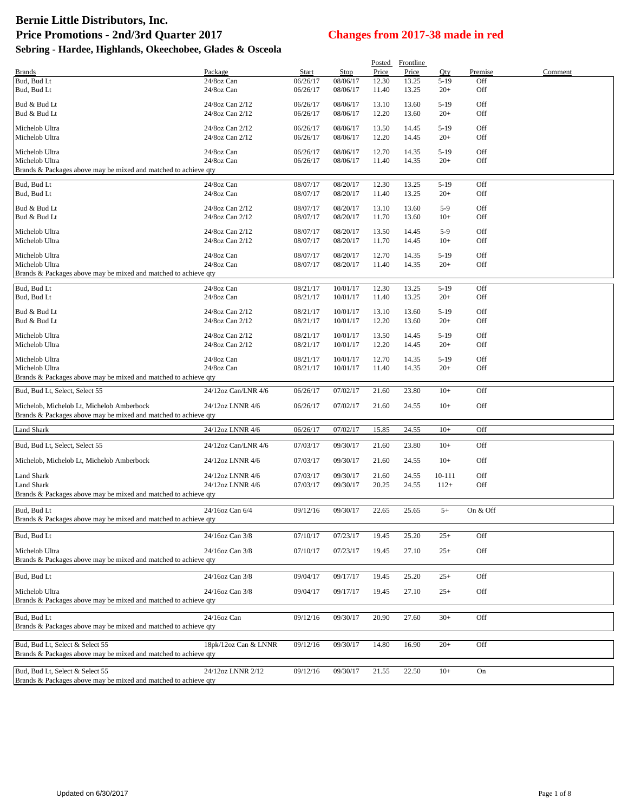|                                                                 |                                    |                      |                      | Posted         | Frontline      |                |            |         |
|-----------------------------------------------------------------|------------------------------------|----------------------|----------------------|----------------|----------------|----------------|------------|---------|
| <b>Brands</b>                                                   | Package                            | Start                | <b>Stop</b>          | Price          | Price          | Qty            | Premise    | Comment |
| Bud, Bud Lt                                                     | 24/8oz Can<br>24/8oz Can           | 06/26/17             | 08/06/17             | 12.30          | 13.25          | $5 - 19$       | Off        |         |
| Bud, Bud Lt                                                     |                                    | 06/26/17             | 08/06/17             | 11.40          | 13.25          | $20+$          | Off        |         |
| Bud & Bud Lt                                                    | 24/8oz Can 2/12                    | 06/26/17             | 08/06/17             | 13.10          | 13.60          | $5-19$         | Off        |         |
| Bud & Bud Lt                                                    | 24/8oz Can 2/12                    | 06/26/17             | 08/06/17             | 12.20          | 13.60          | $20+$          | Off        |         |
| Michelob Ultra                                                  | 24/8oz Can 2/12                    | 06/26/17             | 08/06/17             | 13.50          | 14.45          | $5-19$         | Off        |         |
| Michelob Ultra                                                  | 24/8oz Can 2/12                    | 06/26/17             | 08/06/17             | 12.20          | 14.45          | $20+$          | Off        |         |
| Michelob Ultra                                                  | 24/8oz Can                         | 06/26/17             | 08/06/17             | 12.70          | 14.35          | $5-19$         | Off        |         |
| Michelob Ultra                                                  | 24/8oz Can                         | 06/26/17             | 08/06/17             | 11.40          | 14.35          | $20+$          | Off        |         |
| Brands & Packages above may be mixed and matched to achieve qty |                                    |                      |                      |                |                |                |            |         |
| Bud, Bud Lt                                                     | 24/8oz Can                         | 08/07/17             | 08/20/17             | 12.30          | 13.25          | $5-19$         | Off        |         |
| Bud, Bud Lt                                                     | 24/8oz Can                         | 08/07/17             | 08/20/17             | 11.40          | 13.25          | $20+$          | Off        |         |
| Bud & Bud Lt                                                    | 24/8oz Can 2/12                    | 08/07/17             | 08/20/17             | 13.10          | 13.60          | $5-9$          | Off        |         |
| Bud & Bud Lt                                                    | 24/8oz Can 2/12                    | 08/07/17             | 08/20/17             | 11.70          | 13.60          | $10+$          | Off        |         |
|                                                                 |                                    |                      |                      |                |                |                |            |         |
| Michelob Ultra<br>Michelob Ultra                                | 24/8oz Can 2/12<br>24/8oz Can 2/12 | 08/07/17<br>08/07/17 | 08/20/17<br>08/20/17 | 13.50<br>11.70 | 14.45<br>14.45 | $5-9$<br>$10+$ | Off<br>Off |         |
|                                                                 |                                    |                      |                      |                |                |                |            |         |
| Michelob Ultra                                                  | 24/8oz Can                         | 08/07/17             | 08/20/17             | 12.70          | 14.35          | $5-19$         | Off        |         |
| Michelob Ultra                                                  | 24/8oz Can                         | 08/07/17             | 08/20/17             | 11.40          | 14.35          | $20+$          | Off        |         |
| Brands & Packages above may be mixed and matched to achieve qty |                                    |                      |                      |                |                |                |            |         |
| Bud, Bud Lt                                                     | 24/8oz Can                         | 08/21/17             | 10/01/17             | 12.30          | 13.25          | $5-19$         | Off        |         |
| Bud, Bud Lt                                                     | 24/8oz Can                         | 08/21/17             | 10/01/17             | 11.40          | 13.25          | $20+$          | Off        |         |
| Bud & Bud Lt                                                    | 24/8oz Can 2/12                    | 08/21/17             | 10/01/17             | 13.10          | 13.60          | $5-19$         | Off        |         |
| Bud & Bud Lt                                                    | 24/8oz Can 2/12                    | 08/21/17             | 10/01/17             | 12.20          | 13.60          | $20+$          | Off        |         |
| Michelob Ultra                                                  | 24/8oz Can 2/12                    | 08/21/17             | 10/01/17             | 13.50          | 14.45          | $5-19$         | Off        |         |
| Michelob Ultra                                                  | 24/8oz Can 2/12                    | 08/21/17             | 10/01/17             | 12.20          | 14.45          | $20+$          | Off        |         |
| Michelob Ultra                                                  | 24/8oz Can                         | 08/21/17             | 10/01/17             | 12.70          | 14.35          | $5-19$         | Off        |         |
| Michelob Ultra                                                  | 24/8oz Can                         | 08/21/17             | 10/01/17             | 11.40          | 14.35          | $20+$          | Off        |         |
| Brands & Packages above may be mixed and matched to achieve qty |                                    |                      |                      |                |                |                |            |         |
| Bud, Bud Lt, Select, Select 55                                  | 24/12oz Can/LNR 4/6                | 06/26/17             | 07/02/17             | 21.60          | 23.80          | $10+$          | Off        |         |
|                                                                 |                                    |                      |                      |                |                |                |            |         |
| Michelob, Michelob Lt, Michelob Amberbock                       | 24/12oz LNNR 4/6                   | 06/26/17             | 07/02/17             | 21.60          | 24.55          | $10+$          | Off        |         |
| Brands & Packages above may be mixed and matched to achieve qty |                                    |                      |                      |                |                |                |            |         |
| <b>Land Shark</b>                                               | 24/12oz LNNR 4/6                   | 06/26/17             | 07/02/17             | 15.85          | 24.55          | $10+$          | Off        |         |
| Bud, Bud Lt, Select, Select 55                                  | 24/12oz Can/LNR 4/6                | 07/03/17             | 09/30/17             | 21.60          | 23.80          | $10+$          | Off        |         |
|                                                                 |                                    |                      |                      |                |                |                |            |         |
| Michelob, Michelob Lt, Michelob Amberbock                       | 24/12oz LNNR 4/6                   | 07/03/17             | 09/30/17             | 21.60          | 24.55          | $10+$          | Off        |         |
| Land Shark                                                      | 24/12oz LNNR 4/6                   | 07/03/17             | 09/30/17             | 21.60          | 24.55          | 10-111         | Off        |         |
| Land Shark                                                      | 24/12oz LNNR 4/6                   | 07/03/17             | 09/30/17             | 20.25          | 24.55          | $112+$         | Off        |         |
| Brands & Packages above may be mixed and matched to achieve qty |                                    |                      |                      |                |                |                |            |         |
| Bud, Bud Lt                                                     | 24/16oz Can 6/4                    | 09/12/16             | 09/30/17             | 22.65          | 25.65          | $5+$           | On & Off   |         |
| Brands & Packages above may be mixed and matched to achieve qty |                                    |                      |                      |                |                |                |            |         |
|                                                                 |                                    |                      |                      |                |                |                |            |         |
| Bud, Bud Lt                                                     | 24/16oz Can 3/8                    | 07/10/17             | 07/23/17             | 19.45          | 25.20          | $25+$          | Off        |         |
| Michelob Ultra                                                  | 24/16oz Can 3/8                    | 07/10/17             | 07/23/17             | 19.45          | 27.10          | $25+$          | Off        |         |
| Brands & Packages above may be mixed and matched to achieve qty |                                    |                      |                      |                |                |                |            |         |
| Bud, Bud Lt                                                     | 24/16oz Can 3/8                    | 09/04/17             | 09/17/17             | 19.45          | 25.20          | $25+$          | Off        |         |
|                                                                 |                                    |                      |                      |                |                |                |            |         |
| Michelob Ultra                                                  | 24/16oz Can 3/8                    | 09/04/17             | 09/17/17             | 19.45          | 27.10          | $25+$          | Off        |         |
| Brands & Packages above may be mixed and matched to achieve qty |                                    |                      |                      |                |                |                |            |         |
| Bud, Bud Lt                                                     | 24/16oz Can                        | 09/12/16             | 09/30/17             | 20.90          | 27.60          | $30+$          | Off        |         |
| Brands & Packages above may be mixed and matched to achieve qty |                                    |                      |                      |                |                |                |            |         |
|                                                                 |                                    |                      |                      |                |                |                |            |         |
| Bud, Bud Lt, Select & Select 55                                 | 18pk/12oz Can & LNNR               | 09/12/16             | 09/30/17             | 14.80          | 16.90          | $20+$          | Off        |         |
| Brands & Packages above may be mixed and matched to achieve qty |                                    |                      |                      |                |                |                |            |         |
| Bud, Bud Lt, Select & Select 55                                 | 24/12oz LNNR 2/12                  | 09/12/16             | 09/30/17             | 21.55          | 22.50          | $10+$          | On         |         |
| Brands & Packages above may be mixed and matched to achieve qty |                                    |                      |                      |                |                |                |            |         |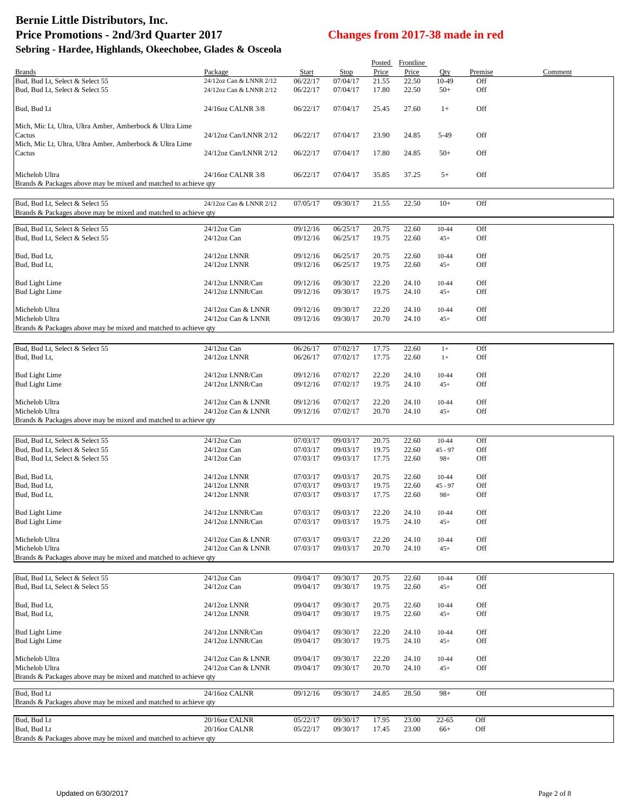# **Bernie Little Distributors, Inc. Price Promotions - 2nd/3rd Quarter 2017 Changes from 2017-38 made in red**

### **Sebring - Hardee, Highlands, Okeechobee, Glades & Osceola**

|                                                                                                    |                                          |                      |                      |                | Posted Frontline |                    |            |         |
|----------------------------------------------------------------------------------------------------|------------------------------------------|----------------------|----------------------|----------------|------------------|--------------------|------------|---------|
| <b>Brands</b>                                                                                      | Package                                  | Start                | <b>Stop</b>          | Price          | Price            | Qty                | Premise    | Comment |
| Bud, Bud Lt, Select & Select 55                                                                    | 24/12oz Can & LNNR 2/12                  | 06/22/17             | 07/04/17             | 21.55          | 22.50            | 10-49              | Off        |         |
| Bud, Bud Lt, Select & Select 55                                                                    | 24/12oz Can & LNNR 2/12                  | 06/22/17             | 07/04/17             | 17.80          | 22.50            | $50+$              | Off        |         |
| Bud, Bud Lt                                                                                        | 24/16oz CALNR 3/8                        | 06/22/17             | 07/04/17             | 25.45          | 27.60            | $1+$               | Off        |         |
| Mich, Mic Lt, Ultra, Ultra Amber, Amberbock & Ultra Lime<br>Cactus                                 | 24/12oz Can/LNNR 2/12                    | 06/22/17             | 07/04/17             | 23.90          | 24.85            | 5-49               | Off        |         |
| Mich, Mic Lt, Ultra, Ultra Amber, Amberbock & Ultra Lime                                           |                                          |                      |                      |                |                  |                    |            |         |
| Cactus                                                                                             | 24/12oz Can/LNNR 2/12                    | 06/22/17             | 07/04/17             | 17.80          | 24.85            | $50+$              | Off        |         |
| Michelob Ultra<br>Brands & Packages above may be mixed and matched to achieve qty                  | 24/16oz CALNR 3/8                        | 06/22/17             | 07/04/17             | 35.85          | 37.25            | $5+$               | Off        |         |
|                                                                                                    |                                          |                      |                      |                |                  |                    |            |         |
| Bud, Bud Lt, Select & Select 55<br>Brands & Packages above may be mixed and matched to achieve qty | 24/12oz Can & LNNR 2/12                  | 07/05/17             | 09/30/17             | 21.55          | 22.50            | $10+$              | Off        |         |
| Bud, Bud Lt, Select & Select 55                                                                    | 24/12oz Can                              | 09/12/16             | 06/25/17             | 20.75          | 22.60            | 10-44              | Off        |         |
| Bud, Bud Lt, Select & Select 55                                                                    | $24/12$ oz Can                           | 09/12/16             | 06/25/17             | 19.75          | 22.60            | $45+$              | Off        |         |
| Bud, Bud Lt,                                                                                       | 24/12oz LNNR                             | 09/12/16             | 06/25/17             | 20.75          | 22.60            | 10-44              | Off        |         |
| Bud, Bud Lt,                                                                                       | 24/12oz LNNR                             | 09/12/16             | 06/25/17             | 19.75          | 22.60            | $45+$              | Off        |         |
| <b>Bud Light Lime</b>                                                                              | 24/12oz LNNR/Can                         | 09/12/16             | 09/30/17             | 22.20          | 24.10            | 10-44              | Off        |         |
| <b>Bud Light Lime</b>                                                                              | 24/12oz LNNR/Can                         | 09/12/16             | 09/30/17             | 19.75          | 24.10            | $45+$              | Off        |         |
|                                                                                                    |                                          |                      |                      |                |                  |                    |            |         |
| Michelob Ultra                                                                                     | 24/12oz Can & LNNR                       | 09/12/16             | 09/30/17             | 22.20          | 24.10            | 10-44              | Off        |         |
| Michelob Ultra                                                                                     | 24/12oz Can & LNNR                       | 09/12/16             | 09/30/17             | 20.70          | 24.10            | $45+$              | Off        |         |
| Brands & Packages above may be mixed and matched to achieve qty                                    |                                          |                      |                      |                |                  |                    |            |         |
| Bud, Bud Lt, Select & Select 55                                                                    | $24/12$ oz Can                           | 06/26/17             | 07/02/17             | 17.75          | 22.60            | $1+$               | Off        |         |
| Bud, Bud Lt,                                                                                       | 24/12oz LNNR                             | 06/26/17             | 07/02/17             | 17.75          | 22.60            | $1+$               | Off        |         |
|                                                                                                    |                                          |                      |                      |                |                  |                    |            |         |
| <b>Bud Light Lime</b>                                                                              | 24/12oz LNNR/Can                         | 09/12/16             | 07/02/17             | 22.20          | 24.10            | 10-44              | Off        |         |
| <b>Bud Light Lime</b>                                                                              | 24/12oz LNNR/Can                         | 09/12/16             | 07/02/17             | 19.75          | 24.10            | $45+$              | Off        |         |
|                                                                                                    |                                          |                      |                      |                |                  |                    |            |         |
| Michelob Ultra                                                                                     | 24/12oz Can & LNNR                       | 09/12/16             | 07/02/17             | 22.20          | 24.10            | 10-44              | Off        |         |
| Michelob Ultra<br>Brands & Packages above may be mixed and matched to achieve qty                  | 24/12oz Can & LNNR                       | 09/12/16             | 07/02/17             | 20.70          | 24.10            | $45+$              | Off        |         |
|                                                                                                    |                                          |                      |                      |                |                  |                    |            |         |
| Bud, Bud Lt, Select & Select 55                                                                    | 24/12oz Can                              | 07/03/17             | 09/03/17             | 20.75          | 22.60            | $10 - 44$          | Off        |         |
| Bud, Bud Lt, Select & Select 55                                                                    | 24/12oz Can                              | 07/03/17             | 09/03/17             | 19.75          | 22.60            | $45 - 97$          | Off        |         |
| Bud, Bud Lt, Select & Select 55                                                                    | $24/12$ oz Can                           | 07/03/17             | 09/03/17             | 17.75          | 22.60            | $98+$              | Off        |         |
|                                                                                                    |                                          |                      |                      |                |                  |                    |            |         |
| Bud, Bud Lt,                                                                                       | 24/12oz LNNR                             | 07/03/17             | 09/03/17<br>09/03/17 | 20.75          | 22.60            | 10-44              | Off        |         |
| Bud, Bud Lt,<br>Bud, Bud Lt,                                                                       | 24/12oz LNNR<br>24/12oz LNNR             | 07/03/17<br>07/03/17 | 09/03/17             | 19.75<br>17.75 | 22.60<br>22.60   | $45 - 97$<br>$98+$ | Off<br>Off |         |
|                                                                                                    |                                          |                      |                      |                |                  |                    |            |         |
| <b>Bud Light Lime</b>                                                                              | 24/12oz LNNR/Can                         | 07/03/17             | 09/03/17             | 22.20          | 24.10            | 10-44              | Off        |         |
| <b>Bud Light Lime</b>                                                                              | 24/12oz LNNR/Can                         | 07/03/17             | 09/03/17             | 19.75          | 24.10            | $45+$              | Off        |         |
|                                                                                                    |                                          |                      |                      |                |                  |                    |            |         |
| Michelob Ultra<br>Michelob Ultra                                                                   | 24/12oz Can & LNNR<br>24/12oz Can & LNNR | 07/03/17<br>07/03/17 | 09/03/17<br>09/03/17 | 22.20<br>20.70 | 24.10<br>24.10   | 10-44<br>$45+$     | Off<br>Off |         |
| Brands & Packages above may be mixed and matched to achieve qty                                    |                                          |                      |                      |                |                  |                    |            |         |
|                                                                                                    |                                          |                      |                      |                |                  |                    |            |         |
| Bud, Bud Lt, Select & Select 55                                                                    | 24/12oz Can                              | 09/04/17             | 09/30/17             | 20.75          | 22.60            | 10-44              | Off        |         |
| Bud, Bud Lt, Select & Select 55                                                                    | 24/12oz Can                              | 09/04/17             | 09/30/17             | 19.75          | 22.60            | $45+$              | Off        |         |
|                                                                                                    |                                          |                      |                      |                |                  |                    |            |         |
| Bud, Bud Lt,<br>Bud, Bud Lt,                                                                       | 24/12oz LNNR<br>24/12oz LNNR             | 09/04/17<br>09/04/17 | 09/30/17<br>09/30/17 | 20.75<br>19.75 | 22.60<br>22.60   | 10-44<br>$45+$     | Off<br>Off |         |
|                                                                                                    |                                          |                      |                      |                |                  |                    |            |         |
| <b>Bud Light Lime</b>                                                                              | 24/12oz LNNR/Can                         | 09/04/17             | 09/30/17             | 22.20          | 24.10            | 10-44              | Off        |         |
| <b>Bud Light Lime</b>                                                                              | 24/12oz LNNR/Can                         | 09/04/17             | 09/30/17             | 19.75          | 24.10            | $45+$              | Off        |         |
|                                                                                                    |                                          |                      |                      |                |                  |                    |            |         |
| Michelob Ultra                                                                                     | 24/12oz Can & LNNR                       | 09/04/17             | 09/30/17             | 22.20          | 24.10            | 10-44              | Off        |         |
| Michelob Ultra<br>Brands & Packages above may be mixed and matched to achieve qty                  | 24/12oz Can & LNNR                       | 09/04/17             | 09/30/17             | 20.70          | 24.10            | $45+$              | Off        |         |
|                                                                                                    |                                          |                      |                      |                |                  |                    |            |         |
| Bud, Bud Lt                                                                                        | 24/16oz CALNR                            | 09/12/16             | 09/30/17             | 24.85          | 28.50            | $98+$              | Off        |         |
| Brands & Packages above may be mixed and matched to achieve qty                                    |                                          |                      |                      |                |                  |                    |            |         |
|                                                                                                    |                                          |                      |                      |                |                  |                    |            |         |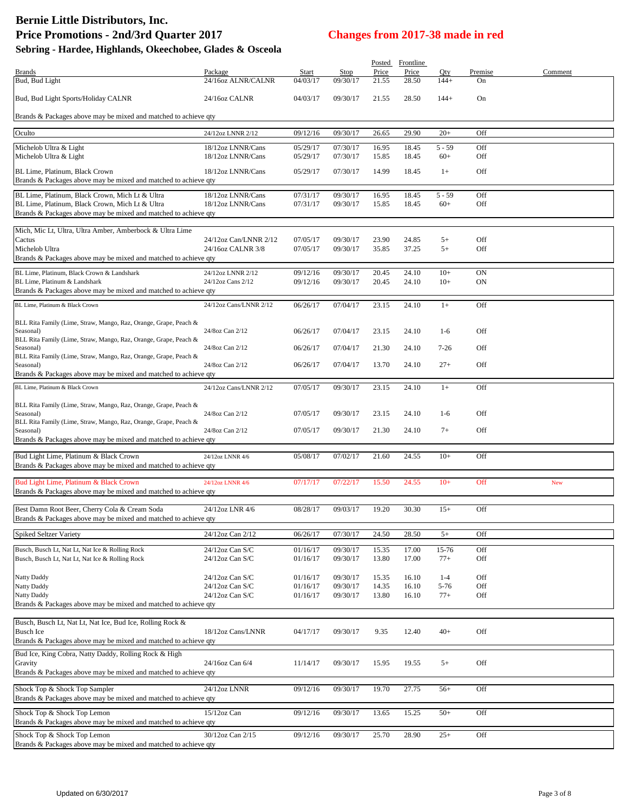## **Bernie Little Distributors, Inc. Price Promotions - 2nd/3rd Quarter 2017 Changes from 2017-38 made in red**

## **Sebring - Hardee, Highlands, Okeechobee, Glades & Osceola**

| Brands<br>Package<br>Stop<br>Qty<br>Premise<br>Start<br>Bud, Bud Light<br>24/16oz ALNR/CALNR<br>04/03/17<br>09/30/17<br>21.55<br>28.50<br>$144+$<br>On<br>Bud, Bud Light Sports/Holiday CALNR<br>24/16oz CALNR<br>04/03/17<br>28.50<br>On<br>09/30/17<br>21.55<br>$144+$<br>Brands & Packages above may be mixed and matched to achieve qty<br>Oculto<br>09/30/17<br>Off<br>09/12/16<br>26.65<br>29.90<br>$20+$<br>24/12oz LNNR 2/12<br>Michelob Ultra & Light<br>18/12oz LNNR/Cans<br>05/29/17<br>07/30/17<br>16.95<br>18.45<br>$5 - 59$<br>Off<br>Off<br>Michelob Ultra & Light<br>18/12oz LNNR/Cans<br>05/29/17<br>07/30/17<br>15.85<br>18.45<br>$60+$<br>Off<br>BL Lime, Platinum, Black Crown<br>18/12oz LNNR/Cans<br>05/29/17<br>07/30/17<br>14.99<br>18.45<br>$1+$<br>Brands & Packages above may be mixed and matched to achieve qty<br>18/12oz LNNR/Cans<br>07/31/17<br>09/30/17<br>16.95<br>18.45<br>$5 - 59$<br>Off<br>07/31/17<br>BL Lime, Platinum, Black Crown, Mich Lt & Ultra<br>18/12oz LNNR/Cans<br>09/30/17<br>15.85<br>18.45<br>$60+$<br>Off<br>Brands & Packages above may be mixed and matched to achieve qty<br>Mich, Mic Lt, Ultra, Ultra Amber, Amberbock & Ultra Lime<br>Off<br>Cactus<br>24/12oz Can/LNNR 2/12<br>07/05/17<br>09/30/17<br>23.90<br>24.85<br>$5+$<br>Michelob Ultra<br>24/16oz CALNR 3/8<br>$5+$<br>07/05/17<br>09/30/17<br>35.85<br>37.25<br>Off<br>Brands & Packages above may be mixed and matched to achieve qty<br>24/12oz LNNR 2/12<br>09/12/16<br>09/30/17<br>20.45<br>24.10<br>$10+$<br>ON<br>09/12/16<br>09/30/17<br>20.45<br>24.10<br>$10+$<br>ON<br>BL Lime, Platinum & Landshark<br>24/12oz Cans 2/12<br>Brands & Packages above may be mixed and matched to achieve qty<br>23.15<br>Off<br>24/12oz Cans/LNNR 2/12<br>06/26/17<br>07/04/17<br>24.10<br>$1+$<br>BLL Rita Family (Lime, Straw, Mango, Raz, Orange, Grape, Peach &<br>Off<br>06/26/17<br>07/04/17<br>23.15<br>24.10<br>$1-6$<br>24/8oz Can 2/12<br>Seasonal)<br>BLL Rita Family (Lime, Straw, Mango, Raz, Orange, Grape, Peach &<br>Off<br>06/26/17<br>07/04/17<br>21.30<br>24.10<br>$7 - 26$<br>24/8oz Can 2/12<br>Seasonal)<br>BLL Rita Family (Lime, Straw, Mango, Raz, Orange, Grape, Peach &<br>24/8oz Can 2/12<br>06/26/17<br>07/04/17<br>13.70<br>24.10<br>$27+$<br>Off<br>Seasonal)<br>Brands & Packages above may be mixed and matched to achieve qty<br>BL Lime, Platinum & Black Crown<br>24/12oz Cans/LNNR 2/12<br>07/05/17<br>09/30/17<br>23.15<br>24.10<br>Off<br>$1+$<br>BLL Rita Family (Lime, Straw, Mango, Raz, Orange, Grape, Peach &<br>Off<br>24/8oz Can 2/12<br>07/05/17<br>09/30/17<br>23.15<br>24.10<br>$1-6$<br>Seasonal)<br>BLL Rita Family (Lime, Straw, Mango, Raz, Orange, Grape, Peach &<br>Off<br>24/8oz Can 2/12<br>07/05/17<br>09/30/17<br>21.30<br>24.10<br>$7+$<br>Seasonal)<br>Brands & Packages above may be mixed and matched to achieve qty<br>05/08/17<br>07/02/17<br>21.60<br>24.55<br>$10+$<br>Off<br>24/12oz LNNR 4/6<br>Brands & Packages above may be mixed and matched to achieve qty<br>Bud Light Lime, Platinum & Black Crown<br>07/17/17<br>07/22/17<br>15.50<br>24.55<br>$10+$<br>Off<br>24/12oz LNNR 4/6<br>New<br>Brands & Packages above may be mixed and matched to achieve qty<br>Best Damn Root Beer, Cherry Cola & Cream Soda<br>24/12oz LNR 4/6<br>08/28/17<br>09/03/17<br>19.20<br>30.30<br>$15+$<br>Off<br>Brands & Packages above may be mixed and matched to achieve gtv<br><b>Spiked Seltzer Variety</b><br>07/30/17<br>24.50<br>28.50<br>$5+$<br>24/12oz Can 2/12<br>06/26/17<br>Off<br>Busch, Busch Lt, Nat Lt, Nat Ice & Rolling Rock<br>24/12oz Can S/C<br>09/30/17<br>17.00<br>15-76<br>Off<br>01/16/17<br>15.35<br>Busch, Busch Lt, Nat Lt, Nat Ice & Rolling Rock<br>24/12oz Can S/C<br>09/30/17<br>17.00<br>$77+$<br>Off<br>01/16/17<br>13.80<br>Natty Daddy<br>Off<br>24/12oz Can S/C<br>01/16/17<br>09/30/17<br>$1 - 4$<br>15.35<br>16.10<br>Natty Daddy<br>24/12oz Can S/C<br>01/16/17<br>09/30/17<br>14.35<br>16.10<br>5-76<br>Off<br><b>Natty Daddy</b><br>24/12oz Can S/C<br>01/16/17<br>09/30/17<br>13.80<br>16.10<br>$77+$<br>Off<br>Brands & Packages above may be mixed and matched to achieve qty<br>18/12oz Cans/LNNR<br><b>Busch Ice</b><br>9.35<br>12.40<br>$40+$<br>Off<br>04/17/17<br>09/30/17<br>Brands & Packages above may be mixed and matched to achieve qty<br>Bud Ice, King Cobra, Natty Daddy, Rolling Rock & High<br>Off<br>24/16oz Can 6/4<br>09/30/17<br>19.55<br>$5+$<br>Gravity<br>11/14/17<br>15.95<br>Brands & Packages above may be mixed and matched to achieve qty<br>Shock Top & Shock Top Sampler<br>24/12oz LNNR<br>09/12/16<br>09/30/17<br>19.70<br>27.75<br>Off<br>$56+$<br>Brands & Packages above may be mixed and matched to achieve qty<br>Shock Top & Shock Top Lemon<br>15/12oz Can<br>09/12/16<br>09/30/17<br>13.65<br>15.25<br>$50+$<br>Off<br>Brands & Packages above may be mixed and matched to achieve qty<br>30/12oz Can 2/15<br>09/30/17<br>25.70<br>28.90<br>$25+$<br>Off<br>Shock Top & Shock Top Lemon<br>09/12/16<br>Brands & Packages above may be mixed and matched to achieve qty |                                                           |  | Posted | Frontline |  |         |
|-----------------------------------------------------------------------------------------------------------------------------------------------------------------------------------------------------------------------------------------------------------------------------------------------------------------------------------------------------------------------------------------------------------------------------------------------------------------------------------------------------------------------------------------------------------------------------------------------------------------------------------------------------------------------------------------------------------------------------------------------------------------------------------------------------------------------------------------------------------------------------------------------------------------------------------------------------------------------------------------------------------------------------------------------------------------------------------------------------------------------------------------------------------------------------------------------------------------------------------------------------------------------------------------------------------------------------------------------------------------------------------------------------------------------------------------------------------------------------------------------------------------------------------------------------------------------------------------------------------------------------------------------------------------------------------------------------------------------------------------------------------------------------------------------------------------------------------------------------------------------------------------------------------------------------------------------------------------------------------------------------------------------------------------------------------------------------------------------------------------------------------------------------------------------------------------------------------------------------------------------------------------------------------------------------------------------------------------------------------------------------------------------------------------------------------------------------------------------------------------------------------------------------------------------------------------------------------------------------------------------------------------------------------------------------------------------------------------------------------------------------------------------------------------------------------------------------------------------------------------------------------------------------------------------------------------------------------------------------------------------------------------------------------------------------------------------------------------------------------------------------------------------------------------------------------------------------------------------------------------------------------------------------------------------------------------------------------------------------------------------------------------------------------------------------------------------------------------------------------------------------------------------------------------------------------------------------------------------------------------------------------------------------------------------------------------------------------------------------------------------------------------------------------------------------------------------------------------------------------------------------------------------------------------------------------------------------------------------------------------------------------------------------------------------------------------------------------------------------------------------------------------------------------------------------------------------------------------------------------------------------------------------------------------------------------------------------------------------------------------------------------------------------------------------------------------------------------------------------------------------------------------------------------------------------------------------------------------------------------------------------------------------------------------------------------------------------------------------------------------------------------------------------------------------------------------------------------------------------------------------------------------------------------------------------------------------------------------------------------------------------------------------------------------------------------------------------------------------------------------------------------------|-----------------------------------------------------------|--|--------|-----------|--|---------|
|                                                                                                                                                                                                                                                                                                                                                                                                                                                                                                                                                                                                                                                                                                                                                                                                                                                                                                                                                                                                                                                                                                                                                                                                                                                                                                                                                                                                                                                                                                                                                                                                                                                                                                                                                                                                                                                                                                                                                                                                                                                                                                                                                                                                                                                                                                                                                                                                                                                                                                                                                                                                                                                                                                                                                                                                                                                                                                                                                                                                                                                                                                                                                                                                                                                                                                                                                                                                                                                                                                                                                                                                                                                                                                                                                                                                                                                                                                                                                                                                                                                                                                                                                                                                                                                                                                                                                                                                                                                                                                                                                                                                                                                                                                                                                                                                                                                                                                                                                                                                                                                                                                                                         |                                                           |  | Price  | Price     |  | Comment |
|                                                                                                                                                                                                                                                                                                                                                                                                                                                                                                                                                                                                                                                                                                                                                                                                                                                                                                                                                                                                                                                                                                                                                                                                                                                                                                                                                                                                                                                                                                                                                                                                                                                                                                                                                                                                                                                                                                                                                                                                                                                                                                                                                                                                                                                                                                                                                                                                                                                                                                                                                                                                                                                                                                                                                                                                                                                                                                                                                                                                                                                                                                                                                                                                                                                                                                                                                                                                                                                                                                                                                                                                                                                                                                                                                                                                                                                                                                                                                                                                                                                                                                                                                                                                                                                                                                                                                                                                                                                                                                                                                                                                                                                                                                                                                                                                                                                                                                                                                                                                                                                                                                                                         |                                                           |  |        |           |  |         |
|                                                                                                                                                                                                                                                                                                                                                                                                                                                                                                                                                                                                                                                                                                                                                                                                                                                                                                                                                                                                                                                                                                                                                                                                                                                                                                                                                                                                                                                                                                                                                                                                                                                                                                                                                                                                                                                                                                                                                                                                                                                                                                                                                                                                                                                                                                                                                                                                                                                                                                                                                                                                                                                                                                                                                                                                                                                                                                                                                                                                                                                                                                                                                                                                                                                                                                                                                                                                                                                                                                                                                                                                                                                                                                                                                                                                                                                                                                                                                                                                                                                                                                                                                                                                                                                                                                                                                                                                                                                                                                                                                                                                                                                                                                                                                                                                                                                                                                                                                                                                                                                                                                                                         |                                                           |  |        |           |  |         |
|                                                                                                                                                                                                                                                                                                                                                                                                                                                                                                                                                                                                                                                                                                                                                                                                                                                                                                                                                                                                                                                                                                                                                                                                                                                                                                                                                                                                                                                                                                                                                                                                                                                                                                                                                                                                                                                                                                                                                                                                                                                                                                                                                                                                                                                                                                                                                                                                                                                                                                                                                                                                                                                                                                                                                                                                                                                                                                                                                                                                                                                                                                                                                                                                                                                                                                                                                                                                                                                                                                                                                                                                                                                                                                                                                                                                                                                                                                                                                                                                                                                                                                                                                                                                                                                                                                                                                                                                                                                                                                                                                                                                                                                                                                                                                                                                                                                                                                                                                                                                                                                                                                                                         |                                                           |  |        |           |  |         |
|                                                                                                                                                                                                                                                                                                                                                                                                                                                                                                                                                                                                                                                                                                                                                                                                                                                                                                                                                                                                                                                                                                                                                                                                                                                                                                                                                                                                                                                                                                                                                                                                                                                                                                                                                                                                                                                                                                                                                                                                                                                                                                                                                                                                                                                                                                                                                                                                                                                                                                                                                                                                                                                                                                                                                                                                                                                                                                                                                                                                                                                                                                                                                                                                                                                                                                                                                                                                                                                                                                                                                                                                                                                                                                                                                                                                                                                                                                                                                                                                                                                                                                                                                                                                                                                                                                                                                                                                                                                                                                                                                                                                                                                                                                                                                                                                                                                                                                                                                                                                                                                                                                                                         |                                                           |  |        |           |  |         |
|                                                                                                                                                                                                                                                                                                                                                                                                                                                                                                                                                                                                                                                                                                                                                                                                                                                                                                                                                                                                                                                                                                                                                                                                                                                                                                                                                                                                                                                                                                                                                                                                                                                                                                                                                                                                                                                                                                                                                                                                                                                                                                                                                                                                                                                                                                                                                                                                                                                                                                                                                                                                                                                                                                                                                                                                                                                                                                                                                                                                                                                                                                                                                                                                                                                                                                                                                                                                                                                                                                                                                                                                                                                                                                                                                                                                                                                                                                                                                                                                                                                                                                                                                                                                                                                                                                                                                                                                                                                                                                                                                                                                                                                                                                                                                                                                                                                                                                                                                                                                                                                                                                                                         |                                                           |  |        |           |  |         |
|                                                                                                                                                                                                                                                                                                                                                                                                                                                                                                                                                                                                                                                                                                                                                                                                                                                                                                                                                                                                                                                                                                                                                                                                                                                                                                                                                                                                                                                                                                                                                                                                                                                                                                                                                                                                                                                                                                                                                                                                                                                                                                                                                                                                                                                                                                                                                                                                                                                                                                                                                                                                                                                                                                                                                                                                                                                                                                                                                                                                                                                                                                                                                                                                                                                                                                                                                                                                                                                                                                                                                                                                                                                                                                                                                                                                                                                                                                                                                                                                                                                                                                                                                                                                                                                                                                                                                                                                                                                                                                                                                                                                                                                                                                                                                                                                                                                                                                                                                                                                                                                                                                                                         |                                                           |  |        |           |  |         |
|                                                                                                                                                                                                                                                                                                                                                                                                                                                                                                                                                                                                                                                                                                                                                                                                                                                                                                                                                                                                                                                                                                                                                                                                                                                                                                                                                                                                                                                                                                                                                                                                                                                                                                                                                                                                                                                                                                                                                                                                                                                                                                                                                                                                                                                                                                                                                                                                                                                                                                                                                                                                                                                                                                                                                                                                                                                                                                                                                                                                                                                                                                                                                                                                                                                                                                                                                                                                                                                                                                                                                                                                                                                                                                                                                                                                                                                                                                                                                                                                                                                                                                                                                                                                                                                                                                                                                                                                                                                                                                                                                                                                                                                                                                                                                                                                                                                                                                                                                                                                                                                                                                                                         |                                                           |  |        |           |  |         |
|                                                                                                                                                                                                                                                                                                                                                                                                                                                                                                                                                                                                                                                                                                                                                                                                                                                                                                                                                                                                                                                                                                                                                                                                                                                                                                                                                                                                                                                                                                                                                                                                                                                                                                                                                                                                                                                                                                                                                                                                                                                                                                                                                                                                                                                                                                                                                                                                                                                                                                                                                                                                                                                                                                                                                                                                                                                                                                                                                                                                                                                                                                                                                                                                                                                                                                                                                                                                                                                                                                                                                                                                                                                                                                                                                                                                                                                                                                                                                                                                                                                                                                                                                                                                                                                                                                                                                                                                                                                                                                                                                                                                                                                                                                                                                                                                                                                                                                                                                                                                                                                                                                                                         |                                                           |  |        |           |  |         |
|                                                                                                                                                                                                                                                                                                                                                                                                                                                                                                                                                                                                                                                                                                                                                                                                                                                                                                                                                                                                                                                                                                                                                                                                                                                                                                                                                                                                                                                                                                                                                                                                                                                                                                                                                                                                                                                                                                                                                                                                                                                                                                                                                                                                                                                                                                                                                                                                                                                                                                                                                                                                                                                                                                                                                                                                                                                                                                                                                                                                                                                                                                                                                                                                                                                                                                                                                                                                                                                                                                                                                                                                                                                                                                                                                                                                                                                                                                                                                                                                                                                                                                                                                                                                                                                                                                                                                                                                                                                                                                                                                                                                                                                                                                                                                                                                                                                                                                                                                                                                                                                                                                                                         |                                                           |  |        |           |  |         |
|                                                                                                                                                                                                                                                                                                                                                                                                                                                                                                                                                                                                                                                                                                                                                                                                                                                                                                                                                                                                                                                                                                                                                                                                                                                                                                                                                                                                                                                                                                                                                                                                                                                                                                                                                                                                                                                                                                                                                                                                                                                                                                                                                                                                                                                                                                                                                                                                                                                                                                                                                                                                                                                                                                                                                                                                                                                                                                                                                                                                                                                                                                                                                                                                                                                                                                                                                                                                                                                                                                                                                                                                                                                                                                                                                                                                                                                                                                                                                                                                                                                                                                                                                                                                                                                                                                                                                                                                                                                                                                                                                                                                                                                                                                                                                                                                                                                                                                                                                                                                                                                                                                                                         |                                                           |  |        |           |  |         |
|                                                                                                                                                                                                                                                                                                                                                                                                                                                                                                                                                                                                                                                                                                                                                                                                                                                                                                                                                                                                                                                                                                                                                                                                                                                                                                                                                                                                                                                                                                                                                                                                                                                                                                                                                                                                                                                                                                                                                                                                                                                                                                                                                                                                                                                                                                                                                                                                                                                                                                                                                                                                                                                                                                                                                                                                                                                                                                                                                                                                                                                                                                                                                                                                                                                                                                                                                                                                                                                                                                                                                                                                                                                                                                                                                                                                                                                                                                                                                                                                                                                                                                                                                                                                                                                                                                                                                                                                                                                                                                                                                                                                                                                                                                                                                                                                                                                                                                                                                                                                                                                                                                                                         | BL Lime, Platinum, Black Crown, Mich Lt & Ultra           |  |        |           |  |         |
|                                                                                                                                                                                                                                                                                                                                                                                                                                                                                                                                                                                                                                                                                                                                                                                                                                                                                                                                                                                                                                                                                                                                                                                                                                                                                                                                                                                                                                                                                                                                                                                                                                                                                                                                                                                                                                                                                                                                                                                                                                                                                                                                                                                                                                                                                                                                                                                                                                                                                                                                                                                                                                                                                                                                                                                                                                                                                                                                                                                                                                                                                                                                                                                                                                                                                                                                                                                                                                                                                                                                                                                                                                                                                                                                                                                                                                                                                                                                                                                                                                                                                                                                                                                                                                                                                                                                                                                                                                                                                                                                                                                                                                                                                                                                                                                                                                                                                                                                                                                                                                                                                                                                         |                                                           |  |        |           |  |         |
|                                                                                                                                                                                                                                                                                                                                                                                                                                                                                                                                                                                                                                                                                                                                                                                                                                                                                                                                                                                                                                                                                                                                                                                                                                                                                                                                                                                                                                                                                                                                                                                                                                                                                                                                                                                                                                                                                                                                                                                                                                                                                                                                                                                                                                                                                                                                                                                                                                                                                                                                                                                                                                                                                                                                                                                                                                                                                                                                                                                                                                                                                                                                                                                                                                                                                                                                                                                                                                                                                                                                                                                                                                                                                                                                                                                                                                                                                                                                                                                                                                                                                                                                                                                                                                                                                                                                                                                                                                                                                                                                                                                                                                                                                                                                                                                                                                                                                                                                                                                                                                                                                                                                         |                                                           |  |        |           |  |         |
|                                                                                                                                                                                                                                                                                                                                                                                                                                                                                                                                                                                                                                                                                                                                                                                                                                                                                                                                                                                                                                                                                                                                                                                                                                                                                                                                                                                                                                                                                                                                                                                                                                                                                                                                                                                                                                                                                                                                                                                                                                                                                                                                                                                                                                                                                                                                                                                                                                                                                                                                                                                                                                                                                                                                                                                                                                                                                                                                                                                                                                                                                                                                                                                                                                                                                                                                                                                                                                                                                                                                                                                                                                                                                                                                                                                                                                                                                                                                                                                                                                                                                                                                                                                                                                                                                                                                                                                                                                                                                                                                                                                                                                                                                                                                                                                                                                                                                                                                                                                                                                                                                                                                         |                                                           |  |        |           |  |         |
|                                                                                                                                                                                                                                                                                                                                                                                                                                                                                                                                                                                                                                                                                                                                                                                                                                                                                                                                                                                                                                                                                                                                                                                                                                                                                                                                                                                                                                                                                                                                                                                                                                                                                                                                                                                                                                                                                                                                                                                                                                                                                                                                                                                                                                                                                                                                                                                                                                                                                                                                                                                                                                                                                                                                                                                                                                                                                                                                                                                                                                                                                                                                                                                                                                                                                                                                                                                                                                                                                                                                                                                                                                                                                                                                                                                                                                                                                                                                                                                                                                                                                                                                                                                                                                                                                                                                                                                                                                                                                                                                                                                                                                                                                                                                                                                                                                                                                                                                                                                                                                                                                                                                         |                                                           |  |        |           |  |         |
|                                                                                                                                                                                                                                                                                                                                                                                                                                                                                                                                                                                                                                                                                                                                                                                                                                                                                                                                                                                                                                                                                                                                                                                                                                                                                                                                                                                                                                                                                                                                                                                                                                                                                                                                                                                                                                                                                                                                                                                                                                                                                                                                                                                                                                                                                                                                                                                                                                                                                                                                                                                                                                                                                                                                                                                                                                                                                                                                                                                                                                                                                                                                                                                                                                                                                                                                                                                                                                                                                                                                                                                                                                                                                                                                                                                                                                                                                                                                                                                                                                                                                                                                                                                                                                                                                                                                                                                                                                                                                                                                                                                                                                                                                                                                                                                                                                                                                                                                                                                                                                                                                                                                         |                                                           |  |        |           |  |         |
|                                                                                                                                                                                                                                                                                                                                                                                                                                                                                                                                                                                                                                                                                                                                                                                                                                                                                                                                                                                                                                                                                                                                                                                                                                                                                                                                                                                                                                                                                                                                                                                                                                                                                                                                                                                                                                                                                                                                                                                                                                                                                                                                                                                                                                                                                                                                                                                                                                                                                                                                                                                                                                                                                                                                                                                                                                                                                                                                                                                                                                                                                                                                                                                                                                                                                                                                                                                                                                                                                                                                                                                                                                                                                                                                                                                                                                                                                                                                                                                                                                                                                                                                                                                                                                                                                                                                                                                                                                                                                                                                                                                                                                                                                                                                                                                                                                                                                                                                                                                                                                                                                                                                         |                                                           |  |        |           |  |         |
|                                                                                                                                                                                                                                                                                                                                                                                                                                                                                                                                                                                                                                                                                                                                                                                                                                                                                                                                                                                                                                                                                                                                                                                                                                                                                                                                                                                                                                                                                                                                                                                                                                                                                                                                                                                                                                                                                                                                                                                                                                                                                                                                                                                                                                                                                                                                                                                                                                                                                                                                                                                                                                                                                                                                                                                                                                                                                                                                                                                                                                                                                                                                                                                                                                                                                                                                                                                                                                                                                                                                                                                                                                                                                                                                                                                                                                                                                                                                                                                                                                                                                                                                                                                                                                                                                                                                                                                                                                                                                                                                                                                                                                                                                                                                                                                                                                                                                                                                                                                                                                                                                                                                         | BL Lime, Platinum, Black Crown & Landshark                |  |        |           |  |         |
|                                                                                                                                                                                                                                                                                                                                                                                                                                                                                                                                                                                                                                                                                                                                                                                                                                                                                                                                                                                                                                                                                                                                                                                                                                                                                                                                                                                                                                                                                                                                                                                                                                                                                                                                                                                                                                                                                                                                                                                                                                                                                                                                                                                                                                                                                                                                                                                                                                                                                                                                                                                                                                                                                                                                                                                                                                                                                                                                                                                                                                                                                                                                                                                                                                                                                                                                                                                                                                                                                                                                                                                                                                                                                                                                                                                                                                                                                                                                                                                                                                                                                                                                                                                                                                                                                                                                                                                                                                                                                                                                                                                                                                                                                                                                                                                                                                                                                                                                                                                                                                                                                                                                         |                                                           |  |        |           |  |         |
|                                                                                                                                                                                                                                                                                                                                                                                                                                                                                                                                                                                                                                                                                                                                                                                                                                                                                                                                                                                                                                                                                                                                                                                                                                                                                                                                                                                                                                                                                                                                                                                                                                                                                                                                                                                                                                                                                                                                                                                                                                                                                                                                                                                                                                                                                                                                                                                                                                                                                                                                                                                                                                                                                                                                                                                                                                                                                                                                                                                                                                                                                                                                                                                                                                                                                                                                                                                                                                                                                                                                                                                                                                                                                                                                                                                                                                                                                                                                                                                                                                                                                                                                                                                                                                                                                                                                                                                                                                                                                                                                                                                                                                                                                                                                                                                                                                                                                                                                                                                                                                                                                                                                         |                                                           |  |        |           |  |         |
|                                                                                                                                                                                                                                                                                                                                                                                                                                                                                                                                                                                                                                                                                                                                                                                                                                                                                                                                                                                                                                                                                                                                                                                                                                                                                                                                                                                                                                                                                                                                                                                                                                                                                                                                                                                                                                                                                                                                                                                                                                                                                                                                                                                                                                                                                                                                                                                                                                                                                                                                                                                                                                                                                                                                                                                                                                                                                                                                                                                                                                                                                                                                                                                                                                                                                                                                                                                                                                                                                                                                                                                                                                                                                                                                                                                                                                                                                                                                                                                                                                                                                                                                                                                                                                                                                                                                                                                                                                                                                                                                                                                                                                                                                                                                                                                                                                                                                                                                                                                                                                                                                                                                         | BL Lime, Platinum & Black Crown                           |  |        |           |  |         |
|                                                                                                                                                                                                                                                                                                                                                                                                                                                                                                                                                                                                                                                                                                                                                                                                                                                                                                                                                                                                                                                                                                                                                                                                                                                                                                                                                                                                                                                                                                                                                                                                                                                                                                                                                                                                                                                                                                                                                                                                                                                                                                                                                                                                                                                                                                                                                                                                                                                                                                                                                                                                                                                                                                                                                                                                                                                                                                                                                                                                                                                                                                                                                                                                                                                                                                                                                                                                                                                                                                                                                                                                                                                                                                                                                                                                                                                                                                                                                                                                                                                                                                                                                                                                                                                                                                                                                                                                                                                                                                                                                                                                                                                                                                                                                                                                                                                                                                                                                                                                                                                                                                                                         |                                                           |  |        |           |  |         |
|                                                                                                                                                                                                                                                                                                                                                                                                                                                                                                                                                                                                                                                                                                                                                                                                                                                                                                                                                                                                                                                                                                                                                                                                                                                                                                                                                                                                                                                                                                                                                                                                                                                                                                                                                                                                                                                                                                                                                                                                                                                                                                                                                                                                                                                                                                                                                                                                                                                                                                                                                                                                                                                                                                                                                                                                                                                                                                                                                                                                                                                                                                                                                                                                                                                                                                                                                                                                                                                                                                                                                                                                                                                                                                                                                                                                                                                                                                                                                                                                                                                                                                                                                                                                                                                                                                                                                                                                                                                                                                                                                                                                                                                                                                                                                                                                                                                                                                                                                                                                                                                                                                                                         |                                                           |  |        |           |  |         |
|                                                                                                                                                                                                                                                                                                                                                                                                                                                                                                                                                                                                                                                                                                                                                                                                                                                                                                                                                                                                                                                                                                                                                                                                                                                                                                                                                                                                                                                                                                                                                                                                                                                                                                                                                                                                                                                                                                                                                                                                                                                                                                                                                                                                                                                                                                                                                                                                                                                                                                                                                                                                                                                                                                                                                                                                                                                                                                                                                                                                                                                                                                                                                                                                                                                                                                                                                                                                                                                                                                                                                                                                                                                                                                                                                                                                                                                                                                                                                                                                                                                                                                                                                                                                                                                                                                                                                                                                                                                                                                                                                                                                                                                                                                                                                                                                                                                                                                                                                                                                                                                                                                                                         |                                                           |  |        |           |  |         |
|                                                                                                                                                                                                                                                                                                                                                                                                                                                                                                                                                                                                                                                                                                                                                                                                                                                                                                                                                                                                                                                                                                                                                                                                                                                                                                                                                                                                                                                                                                                                                                                                                                                                                                                                                                                                                                                                                                                                                                                                                                                                                                                                                                                                                                                                                                                                                                                                                                                                                                                                                                                                                                                                                                                                                                                                                                                                                                                                                                                                                                                                                                                                                                                                                                                                                                                                                                                                                                                                                                                                                                                                                                                                                                                                                                                                                                                                                                                                                                                                                                                                                                                                                                                                                                                                                                                                                                                                                                                                                                                                                                                                                                                                                                                                                                                                                                                                                                                                                                                                                                                                                                                                         |                                                           |  |        |           |  |         |
|                                                                                                                                                                                                                                                                                                                                                                                                                                                                                                                                                                                                                                                                                                                                                                                                                                                                                                                                                                                                                                                                                                                                                                                                                                                                                                                                                                                                                                                                                                                                                                                                                                                                                                                                                                                                                                                                                                                                                                                                                                                                                                                                                                                                                                                                                                                                                                                                                                                                                                                                                                                                                                                                                                                                                                                                                                                                                                                                                                                                                                                                                                                                                                                                                                                                                                                                                                                                                                                                                                                                                                                                                                                                                                                                                                                                                                                                                                                                                                                                                                                                                                                                                                                                                                                                                                                                                                                                                                                                                                                                                                                                                                                                                                                                                                                                                                                                                                                                                                                                                                                                                                                                         |                                                           |  |        |           |  |         |
|                                                                                                                                                                                                                                                                                                                                                                                                                                                                                                                                                                                                                                                                                                                                                                                                                                                                                                                                                                                                                                                                                                                                                                                                                                                                                                                                                                                                                                                                                                                                                                                                                                                                                                                                                                                                                                                                                                                                                                                                                                                                                                                                                                                                                                                                                                                                                                                                                                                                                                                                                                                                                                                                                                                                                                                                                                                                                                                                                                                                                                                                                                                                                                                                                                                                                                                                                                                                                                                                                                                                                                                                                                                                                                                                                                                                                                                                                                                                                                                                                                                                                                                                                                                                                                                                                                                                                                                                                                                                                                                                                                                                                                                                                                                                                                                                                                                                                                                                                                                                                                                                                                                                         |                                                           |  |        |           |  |         |
|                                                                                                                                                                                                                                                                                                                                                                                                                                                                                                                                                                                                                                                                                                                                                                                                                                                                                                                                                                                                                                                                                                                                                                                                                                                                                                                                                                                                                                                                                                                                                                                                                                                                                                                                                                                                                                                                                                                                                                                                                                                                                                                                                                                                                                                                                                                                                                                                                                                                                                                                                                                                                                                                                                                                                                                                                                                                                                                                                                                                                                                                                                                                                                                                                                                                                                                                                                                                                                                                                                                                                                                                                                                                                                                                                                                                                                                                                                                                                                                                                                                                                                                                                                                                                                                                                                                                                                                                                                                                                                                                                                                                                                                                                                                                                                                                                                                                                                                                                                                                                                                                                                                                         |                                                           |  |        |           |  |         |
|                                                                                                                                                                                                                                                                                                                                                                                                                                                                                                                                                                                                                                                                                                                                                                                                                                                                                                                                                                                                                                                                                                                                                                                                                                                                                                                                                                                                                                                                                                                                                                                                                                                                                                                                                                                                                                                                                                                                                                                                                                                                                                                                                                                                                                                                                                                                                                                                                                                                                                                                                                                                                                                                                                                                                                                                                                                                                                                                                                                                                                                                                                                                                                                                                                                                                                                                                                                                                                                                                                                                                                                                                                                                                                                                                                                                                                                                                                                                                                                                                                                                                                                                                                                                                                                                                                                                                                                                                                                                                                                                                                                                                                                                                                                                                                                                                                                                                                                                                                                                                                                                                                                                         |                                                           |  |        |           |  |         |
|                                                                                                                                                                                                                                                                                                                                                                                                                                                                                                                                                                                                                                                                                                                                                                                                                                                                                                                                                                                                                                                                                                                                                                                                                                                                                                                                                                                                                                                                                                                                                                                                                                                                                                                                                                                                                                                                                                                                                                                                                                                                                                                                                                                                                                                                                                                                                                                                                                                                                                                                                                                                                                                                                                                                                                                                                                                                                                                                                                                                                                                                                                                                                                                                                                                                                                                                                                                                                                                                                                                                                                                                                                                                                                                                                                                                                                                                                                                                                                                                                                                                                                                                                                                                                                                                                                                                                                                                                                                                                                                                                                                                                                                                                                                                                                                                                                                                                                                                                                                                                                                                                                                                         |                                                           |  |        |           |  |         |
|                                                                                                                                                                                                                                                                                                                                                                                                                                                                                                                                                                                                                                                                                                                                                                                                                                                                                                                                                                                                                                                                                                                                                                                                                                                                                                                                                                                                                                                                                                                                                                                                                                                                                                                                                                                                                                                                                                                                                                                                                                                                                                                                                                                                                                                                                                                                                                                                                                                                                                                                                                                                                                                                                                                                                                                                                                                                                                                                                                                                                                                                                                                                                                                                                                                                                                                                                                                                                                                                                                                                                                                                                                                                                                                                                                                                                                                                                                                                                                                                                                                                                                                                                                                                                                                                                                                                                                                                                                                                                                                                                                                                                                                                                                                                                                                                                                                                                                                                                                                                                                                                                                                                         |                                                           |  |        |           |  |         |
|                                                                                                                                                                                                                                                                                                                                                                                                                                                                                                                                                                                                                                                                                                                                                                                                                                                                                                                                                                                                                                                                                                                                                                                                                                                                                                                                                                                                                                                                                                                                                                                                                                                                                                                                                                                                                                                                                                                                                                                                                                                                                                                                                                                                                                                                                                                                                                                                                                                                                                                                                                                                                                                                                                                                                                                                                                                                                                                                                                                                                                                                                                                                                                                                                                                                                                                                                                                                                                                                                                                                                                                                                                                                                                                                                                                                                                                                                                                                                                                                                                                                                                                                                                                                                                                                                                                                                                                                                                                                                                                                                                                                                                                                                                                                                                                                                                                                                                                                                                                                                                                                                                                                         |                                                           |  |        |           |  |         |
|                                                                                                                                                                                                                                                                                                                                                                                                                                                                                                                                                                                                                                                                                                                                                                                                                                                                                                                                                                                                                                                                                                                                                                                                                                                                                                                                                                                                                                                                                                                                                                                                                                                                                                                                                                                                                                                                                                                                                                                                                                                                                                                                                                                                                                                                                                                                                                                                                                                                                                                                                                                                                                                                                                                                                                                                                                                                                                                                                                                                                                                                                                                                                                                                                                                                                                                                                                                                                                                                                                                                                                                                                                                                                                                                                                                                                                                                                                                                                                                                                                                                                                                                                                                                                                                                                                                                                                                                                                                                                                                                                                                                                                                                                                                                                                                                                                                                                                                                                                                                                                                                                                                                         |                                                           |  |        |           |  |         |
|                                                                                                                                                                                                                                                                                                                                                                                                                                                                                                                                                                                                                                                                                                                                                                                                                                                                                                                                                                                                                                                                                                                                                                                                                                                                                                                                                                                                                                                                                                                                                                                                                                                                                                                                                                                                                                                                                                                                                                                                                                                                                                                                                                                                                                                                                                                                                                                                                                                                                                                                                                                                                                                                                                                                                                                                                                                                                                                                                                                                                                                                                                                                                                                                                                                                                                                                                                                                                                                                                                                                                                                                                                                                                                                                                                                                                                                                                                                                                                                                                                                                                                                                                                                                                                                                                                                                                                                                                                                                                                                                                                                                                                                                                                                                                                                                                                                                                                                                                                                                                                                                                                                                         |                                                           |  |        |           |  |         |
|                                                                                                                                                                                                                                                                                                                                                                                                                                                                                                                                                                                                                                                                                                                                                                                                                                                                                                                                                                                                                                                                                                                                                                                                                                                                                                                                                                                                                                                                                                                                                                                                                                                                                                                                                                                                                                                                                                                                                                                                                                                                                                                                                                                                                                                                                                                                                                                                                                                                                                                                                                                                                                                                                                                                                                                                                                                                                                                                                                                                                                                                                                                                                                                                                                                                                                                                                                                                                                                                                                                                                                                                                                                                                                                                                                                                                                                                                                                                                                                                                                                                                                                                                                                                                                                                                                                                                                                                                                                                                                                                                                                                                                                                                                                                                                                                                                                                                                                                                                                                                                                                                                                                         | Bud Light Lime, Platinum & Black Crown                    |  |        |           |  |         |
|                                                                                                                                                                                                                                                                                                                                                                                                                                                                                                                                                                                                                                                                                                                                                                                                                                                                                                                                                                                                                                                                                                                                                                                                                                                                                                                                                                                                                                                                                                                                                                                                                                                                                                                                                                                                                                                                                                                                                                                                                                                                                                                                                                                                                                                                                                                                                                                                                                                                                                                                                                                                                                                                                                                                                                                                                                                                                                                                                                                                                                                                                                                                                                                                                                                                                                                                                                                                                                                                                                                                                                                                                                                                                                                                                                                                                                                                                                                                                                                                                                                                                                                                                                                                                                                                                                                                                                                                                                                                                                                                                                                                                                                                                                                                                                                                                                                                                                                                                                                                                                                                                                                                         |                                                           |  |        |           |  |         |
|                                                                                                                                                                                                                                                                                                                                                                                                                                                                                                                                                                                                                                                                                                                                                                                                                                                                                                                                                                                                                                                                                                                                                                                                                                                                                                                                                                                                                                                                                                                                                                                                                                                                                                                                                                                                                                                                                                                                                                                                                                                                                                                                                                                                                                                                                                                                                                                                                                                                                                                                                                                                                                                                                                                                                                                                                                                                                                                                                                                                                                                                                                                                                                                                                                                                                                                                                                                                                                                                                                                                                                                                                                                                                                                                                                                                                                                                                                                                                                                                                                                                                                                                                                                                                                                                                                                                                                                                                                                                                                                                                                                                                                                                                                                                                                                                                                                                                                                                                                                                                                                                                                                                         |                                                           |  |        |           |  |         |
|                                                                                                                                                                                                                                                                                                                                                                                                                                                                                                                                                                                                                                                                                                                                                                                                                                                                                                                                                                                                                                                                                                                                                                                                                                                                                                                                                                                                                                                                                                                                                                                                                                                                                                                                                                                                                                                                                                                                                                                                                                                                                                                                                                                                                                                                                                                                                                                                                                                                                                                                                                                                                                                                                                                                                                                                                                                                                                                                                                                                                                                                                                                                                                                                                                                                                                                                                                                                                                                                                                                                                                                                                                                                                                                                                                                                                                                                                                                                                                                                                                                                                                                                                                                                                                                                                                                                                                                                                                                                                                                                                                                                                                                                                                                                                                                                                                                                                                                                                                                                                                                                                                                                         |                                                           |  |        |           |  |         |
|                                                                                                                                                                                                                                                                                                                                                                                                                                                                                                                                                                                                                                                                                                                                                                                                                                                                                                                                                                                                                                                                                                                                                                                                                                                                                                                                                                                                                                                                                                                                                                                                                                                                                                                                                                                                                                                                                                                                                                                                                                                                                                                                                                                                                                                                                                                                                                                                                                                                                                                                                                                                                                                                                                                                                                                                                                                                                                                                                                                                                                                                                                                                                                                                                                                                                                                                                                                                                                                                                                                                                                                                                                                                                                                                                                                                                                                                                                                                                                                                                                                                                                                                                                                                                                                                                                                                                                                                                                                                                                                                                                                                                                                                                                                                                                                                                                                                                                                                                                                                                                                                                                                                         |                                                           |  |        |           |  |         |
|                                                                                                                                                                                                                                                                                                                                                                                                                                                                                                                                                                                                                                                                                                                                                                                                                                                                                                                                                                                                                                                                                                                                                                                                                                                                                                                                                                                                                                                                                                                                                                                                                                                                                                                                                                                                                                                                                                                                                                                                                                                                                                                                                                                                                                                                                                                                                                                                                                                                                                                                                                                                                                                                                                                                                                                                                                                                                                                                                                                                                                                                                                                                                                                                                                                                                                                                                                                                                                                                                                                                                                                                                                                                                                                                                                                                                                                                                                                                                                                                                                                                                                                                                                                                                                                                                                                                                                                                                                                                                                                                                                                                                                                                                                                                                                                                                                                                                                                                                                                                                                                                                                                                         |                                                           |  |        |           |  |         |
|                                                                                                                                                                                                                                                                                                                                                                                                                                                                                                                                                                                                                                                                                                                                                                                                                                                                                                                                                                                                                                                                                                                                                                                                                                                                                                                                                                                                                                                                                                                                                                                                                                                                                                                                                                                                                                                                                                                                                                                                                                                                                                                                                                                                                                                                                                                                                                                                                                                                                                                                                                                                                                                                                                                                                                                                                                                                                                                                                                                                                                                                                                                                                                                                                                                                                                                                                                                                                                                                                                                                                                                                                                                                                                                                                                                                                                                                                                                                                                                                                                                                                                                                                                                                                                                                                                                                                                                                                                                                                                                                                                                                                                                                                                                                                                                                                                                                                                                                                                                                                                                                                                                                         |                                                           |  |        |           |  |         |
|                                                                                                                                                                                                                                                                                                                                                                                                                                                                                                                                                                                                                                                                                                                                                                                                                                                                                                                                                                                                                                                                                                                                                                                                                                                                                                                                                                                                                                                                                                                                                                                                                                                                                                                                                                                                                                                                                                                                                                                                                                                                                                                                                                                                                                                                                                                                                                                                                                                                                                                                                                                                                                                                                                                                                                                                                                                                                                                                                                                                                                                                                                                                                                                                                                                                                                                                                                                                                                                                                                                                                                                                                                                                                                                                                                                                                                                                                                                                                                                                                                                                                                                                                                                                                                                                                                                                                                                                                                                                                                                                                                                                                                                                                                                                                                                                                                                                                                                                                                                                                                                                                                                                         |                                                           |  |        |           |  |         |
|                                                                                                                                                                                                                                                                                                                                                                                                                                                                                                                                                                                                                                                                                                                                                                                                                                                                                                                                                                                                                                                                                                                                                                                                                                                                                                                                                                                                                                                                                                                                                                                                                                                                                                                                                                                                                                                                                                                                                                                                                                                                                                                                                                                                                                                                                                                                                                                                                                                                                                                                                                                                                                                                                                                                                                                                                                                                                                                                                                                                                                                                                                                                                                                                                                                                                                                                                                                                                                                                                                                                                                                                                                                                                                                                                                                                                                                                                                                                                                                                                                                                                                                                                                                                                                                                                                                                                                                                                                                                                                                                                                                                                                                                                                                                                                                                                                                                                                                                                                                                                                                                                                                                         |                                                           |  |        |           |  |         |
|                                                                                                                                                                                                                                                                                                                                                                                                                                                                                                                                                                                                                                                                                                                                                                                                                                                                                                                                                                                                                                                                                                                                                                                                                                                                                                                                                                                                                                                                                                                                                                                                                                                                                                                                                                                                                                                                                                                                                                                                                                                                                                                                                                                                                                                                                                                                                                                                                                                                                                                                                                                                                                                                                                                                                                                                                                                                                                                                                                                                                                                                                                                                                                                                                                                                                                                                                                                                                                                                                                                                                                                                                                                                                                                                                                                                                                                                                                                                                                                                                                                                                                                                                                                                                                                                                                                                                                                                                                                                                                                                                                                                                                                                                                                                                                                                                                                                                                                                                                                                                                                                                                                                         |                                                           |  |        |           |  |         |
|                                                                                                                                                                                                                                                                                                                                                                                                                                                                                                                                                                                                                                                                                                                                                                                                                                                                                                                                                                                                                                                                                                                                                                                                                                                                                                                                                                                                                                                                                                                                                                                                                                                                                                                                                                                                                                                                                                                                                                                                                                                                                                                                                                                                                                                                                                                                                                                                                                                                                                                                                                                                                                                                                                                                                                                                                                                                                                                                                                                                                                                                                                                                                                                                                                                                                                                                                                                                                                                                                                                                                                                                                                                                                                                                                                                                                                                                                                                                                                                                                                                                                                                                                                                                                                                                                                                                                                                                                                                                                                                                                                                                                                                                                                                                                                                                                                                                                                                                                                                                                                                                                                                                         |                                                           |  |        |           |  |         |
|                                                                                                                                                                                                                                                                                                                                                                                                                                                                                                                                                                                                                                                                                                                                                                                                                                                                                                                                                                                                                                                                                                                                                                                                                                                                                                                                                                                                                                                                                                                                                                                                                                                                                                                                                                                                                                                                                                                                                                                                                                                                                                                                                                                                                                                                                                                                                                                                                                                                                                                                                                                                                                                                                                                                                                                                                                                                                                                                                                                                                                                                                                                                                                                                                                                                                                                                                                                                                                                                                                                                                                                                                                                                                                                                                                                                                                                                                                                                                                                                                                                                                                                                                                                                                                                                                                                                                                                                                                                                                                                                                                                                                                                                                                                                                                                                                                                                                                                                                                                                                                                                                                                                         |                                                           |  |        |           |  |         |
|                                                                                                                                                                                                                                                                                                                                                                                                                                                                                                                                                                                                                                                                                                                                                                                                                                                                                                                                                                                                                                                                                                                                                                                                                                                                                                                                                                                                                                                                                                                                                                                                                                                                                                                                                                                                                                                                                                                                                                                                                                                                                                                                                                                                                                                                                                                                                                                                                                                                                                                                                                                                                                                                                                                                                                                                                                                                                                                                                                                                                                                                                                                                                                                                                                                                                                                                                                                                                                                                                                                                                                                                                                                                                                                                                                                                                                                                                                                                                                                                                                                                                                                                                                                                                                                                                                                                                                                                                                                                                                                                                                                                                                                                                                                                                                                                                                                                                                                                                                                                                                                                                                                                         |                                                           |  |        |           |  |         |
|                                                                                                                                                                                                                                                                                                                                                                                                                                                                                                                                                                                                                                                                                                                                                                                                                                                                                                                                                                                                                                                                                                                                                                                                                                                                                                                                                                                                                                                                                                                                                                                                                                                                                                                                                                                                                                                                                                                                                                                                                                                                                                                                                                                                                                                                                                                                                                                                                                                                                                                                                                                                                                                                                                                                                                                                                                                                                                                                                                                                                                                                                                                                                                                                                                                                                                                                                                                                                                                                                                                                                                                                                                                                                                                                                                                                                                                                                                                                                                                                                                                                                                                                                                                                                                                                                                                                                                                                                                                                                                                                                                                                                                                                                                                                                                                                                                                                                                                                                                                                                                                                                                                                         |                                                           |  |        |           |  |         |
|                                                                                                                                                                                                                                                                                                                                                                                                                                                                                                                                                                                                                                                                                                                                                                                                                                                                                                                                                                                                                                                                                                                                                                                                                                                                                                                                                                                                                                                                                                                                                                                                                                                                                                                                                                                                                                                                                                                                                                                                                                                                                                                                                                                                                                                                                                                                                                                                                                                                                                                                                                                                                                                                                                                                                                                                                                                                                                                                                                                                                                                                                                                                                                                                                                                                                                                                                                                                                                                                                                                                                                                                                                                                                                                                                                                                                                                                                                                                                                                                                                                                                                                                                                                                                                                                                                                                                                                                                                                                                                                                                                                                                                                                                                                                                                                                                                                                                                                                                                                                                                                                                                                                         |                                                           |  |        |           |  |         |
|                                                                                                                                                                                                                                                                                                                                                                                                                                                                                                                                                                                                                                                                                                                                                                                                                                                                                                                                                                                                                                                                                                                                                                                                                                                                                                                                                                                                                                                                                                                                                                                                                                                                                                                                                                                                                                                                                                                                                                                                                                                                                                                                                                                                                                                                                                                                                                                                                                                                                                                                                                                                                                                                                                                                                                                                                                                                                                                                                                                                                                                                                                                                                                                                                                                                                                                                                                                                                                                                                                                                                                                                                                                                                                                                                                                                                                                                                                                                                                                                                                                                                                                                                                                                                                                                                                                                                                                                                                                                                                                                                                                                                                                                                                                                                                                                                                                                                                                                                                                                                                                                                                                                         | Busch, Busch Lt, Nat Lt, Nat Ice, Bud Ice, Rolling Rock & |  |        |           |  |         |
|                                                                                                                                                                                                                                                                                                                                                                                                                                                                                                                                                                                                                                                                                                                                                                                                                                                                                                                                                                                                                                                                                                                                                                                                                                                                                                                                                                                                                                                                                                                                                                                                                                                                                                                                                                                                                                                                                                                                                                                                                                                                                                                                                                                                                                                                                                                                                                                                                                                                                                                                                                                                                                                                                                                                                                                                                                                                                                                                                                                                                                                                                                                                                                                                                                                                                                                                                                                                                                                                                                                                                                                                                                                                                                                                                                                                                                                                                                                                                                                                                                                                                                                                                                                                                                                                                                                                                                                                                                                                                                                                                                                                                                                                                                                                                                                                                                                                                                                                                                                                                                                                                                                                         |                                                           |  |        |           |  |         |
|                                                                                                                                                                                                                                                                                                                                                                                                                                                                                                                                                                                                                                                                                                                                                                                                                                                                                                                                                                                                                                                                                                                                                                                                                                                                                                                                                                                                                                                                                                                                                                                                                                                                                                                                                                                                                                                                                                                                                                                                                                                                                                                                                                                                                                                                                                                                                                                                                                                                                                                                                                                                                                                                                                                                                                                                                                                                                                                                                                                                                                                                                                                                                                                                                                                                                                                                                                                                                                                                                                                                                                                                                                                                                                                                                                                                                                                                                                                                                                                                                                                                                                                                                                                                                                                                                                                                                                                                                                                                                                                                                                                                                                                                                                                                                                                                                                                                                                                                                                                                                                                                                                                                         |                                                           |  |        |           |  |         |
|                                                                                                                                                                                                                                                                                                                                                                                                                                                                                                                                                                                                                                                                                                                                                                                                                                                                                                                                                                                                                                                                                                                                                                                                                                                                                                                                                                                                                                                                                                                                                                                                                                                                                                                                                                                                                                                                                                                                                                                                                                                                                                                                                                                                                                                                                                                                                                                                                                                                                                                                                                                                                                                                                                                                                                                                                                                                                                                                                                                                                                                                                                                                                                                                                                                                                                                                                                                                                                                                                                                                                                                                                                                                                                                                                                                                                                                                                                                                                                                                                                                                                                                                                                                                                                                                                                                                                                                                                                                                                                                                                                                                                                                                                                                                                                                                                                                                                                                                                                                                                                                                                                                                         |                                                           |  |        |           |  |         |
|                                                                                                                                                                                                                                                                                                                                                                                                                                                                                                                                                                                                                                                                                                                                                                                                                                                                                                                                                                                                                                                                                                                                                                                                                                                                                                                                                                                                                                                                                                                                                                                                                                                                                                                                                                                                                                                                                                                                                                                                                                                                                                                                                                                                                                                                                                                                                                                                                                                                                                                                                                                                                                                                                                                                                                                                                                                                                                                                                                                                                                                                                                                                                                                                                                                                                                                                                                                                                                                                                                                                                                                                                                                                                                                                                                                                                                                                                                                                                                                                                                                                                                                                                                                                                                                                                                                                                                                                                                                                                                                                                                                                                                                                                                                                                                                                                                                                                                                                                                                                                                                                                                                                         |                                                           |  |        |           |  |         |
|                                                                                                                                                                                                                                                                                                                                                                                                                                                                                                                                                                                                                                                                                                                                                                                                                                                                                                                                                                                                                                                                                                                                                                                                                                                                                                                                                                                                                                                                                                                                                                                                                                                                                                                                                                                                                                                                                                                                                                                                                                                                                                                                                                                                                                                                                                                                                                                                                                                                                                                                                                                                                                                                                                                                                                                                                                                                                                                                                                                                                                                                                                                                                                                                                                                                                                                                                                                                                                                                                                                                                                                                                                                                                                                                                                                                                                                                                                                                                                                                                                                                                                                                                                                                                                                                                                                                                                                                                                                                                                                                                                                                                                                                                                                                                                                                                                                                                                                                                                                                                                                                                                                                         |                                                           |  |        |           |  |         |
|                                                                                                                                                                                                                                                                                                                                                                                                                                                                                                                                                                                                                                                                                                                                                                                                                                                                                                                                                                                                                                                                                                                                                                                                                                                                                                                                                                                                                                                                                                                                                                                                                                                                                                                                                                                                                                                                                                                                                                                                                                                                                                                                                                                                                                                                                                                                                                                                                                                                                                                                                                                                                                                                                                                                                                                                                                                                                                                                                                                                                                                                                                                                                                                                                                                                                                                                                                                                                                                                                                                                                                                                                                                                                                                                                                                                                                                                                                                                                                                                                                                                                                                                                                                                                                                                                                                                                                                                                                                                                                                                                                                                                                                                                                                                                                                                                                                                                                                                                                                                                                                                                                                                         |                                                           |  |        |           |  |         |
|                                                                                                                                                                                                                                                                                                                                                                                                                                                                                                                                                                                                                                                                                                                                                                                                                                                                                                                                                                                                                                                                                                                                                                                                                                                                                                                                                                                                                                                                                                                                                                                                                                                                                                                                                                                                                                                                                                                                                                                                                                                                                                                                                                                                                                                                                                                                                                                                                                                                                                                                                                                                                                                                                                                                                                                                                                                                                                                                                                                                                                                                                                                                                                                                                                                                                                                                                                                                                                                                                                                                                                                                                                                                                                                                                                                                                                                                                                                                                                                                                                                                                                                                                                                                                                                                                                                                                                                                                                                                                                                                                                                                                                                                                                                                                                                                                                                                                                                                                                                                                                                                                                                                         |                                                           |  |        |           |  |         |
|                                                                                                                                                                                                                                                                                                                                                                                                                                                                                                                                                                                                                                                                                                                                                                                                                                                                                                                                                                                                                                                                                                                                                                                                                                                                                                                                                                                                                                                                                                                                                                                                                                                                                                                                                                                                                                                                                                                                                                                                                                                                                                                                                                                                                                                                                                                                                                                                                                                                                                                                                                                                                                                                                                                                                                                                                                                                                                                                                                                                                                                                                                                                                                                                                                                                                                                                                                                                                                                                                                                                                                                                                                                                                                                                                                                                                                                                                                                                                                                                                                                                                                                                                                                                                                                                                                                                                                                                                                                                                                                                                                                                                                                                                                                                                                                                                                                                                                                                                                                                                                                                                                                                         |                                                           |  |        |           |  |         |
|                                                                                                                                                                                                                                                                                                                                                                                                                                                                                                                                                                                                                                                                                                                                                                                                                                                                                                                                                                                                                                                                                                                                                                                                                                                                                                                                                                                                                                                                                                                                                                                                                                                                                                                                                                                                                                                                                                                                                                                                                                                                                                                                                                                                                                                                                                                                                                                                                                                                                                                                                                                                                                                                                                                                                                                                                                                                                                                                                                                                                                                                                                                                                                                                                                                                                                                                                                                                                                                                                                                                                                                                                                                                                                                                                                                                                                                                                                                                                                                                                                                                                                                                                                                                                                                                                                                                                                                                                                                                                                                                                                                                                                                                                                                                                                                                                                                                                                                                                                                                                                                                                                                                         |                                                           |  |        |           |  |         |
|                                                                                                                                                                                                                                                                                                                                                                                                                                                                                                                                                                                                                                                                                                                                                                                                                                                                                                                                                                                                                                                                                                                                                                                                                                                                                                                                                                                                                                                                                                                                                                                                                                                                                                                                                                                                                                                                                                                                                                                                                                                                                                                                                                                                                                                                                                                                                                                                                                                                                                                                                                                                                                                                                                                                                                                                                                                                                                                                                                                                                                                                                                                                                                                                                                                                                                                                                                                                                                                                                                                                                                                                                                                                                                                                                                                                                                                                                                                                                                                                                                                                                                                                                                                                                                                                                                                                                                                                                                                                                                                                                                                                                                                                                                                                                                                                                                                                                                                                                                                                                                                                                                                                         |                                                           |  |        |           |  |         |
|                                                                                                                                                                                                                                                                                                                                                                                                                                                                                                                                                                                                                                                                                                                                                                                                                                                                                                                                                                                                                                                                                                                                                                                                                                                                                                                                                                                                                                                                                                                                                                                                                                                                                                                                                                                                                                                                                                                                                                                                                                                                                                                                                                                                                                                                                                                                                                                                                                                                                                                                                                                                                                                                                                                                                                                                                                                                                                                                                                                                                                                                                                                                                                                                                                                                                                                                                                                                                                                                                                                                                                                                                                                                                                                                                                                                                                                                                                                                                                                                                                                                                                                                                                                                                                                                                                                                                                                                                                                                                                                                                                                                                                                                                                                                                                                                                                                                                                                                                                                                                                                                                                                                         |                                                           |  |        |           |  |         |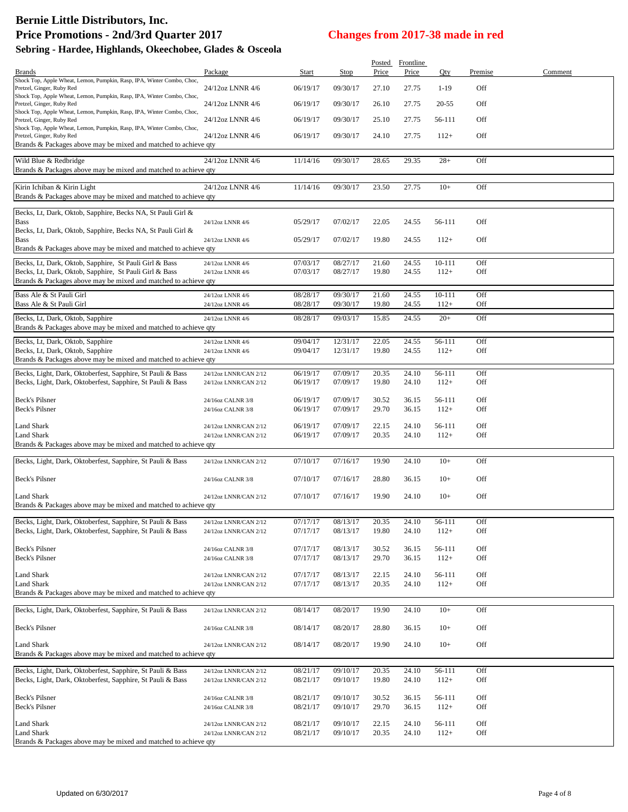# **Bernie Little Distributors, Inc.**

Brands & Packages above may be mixed and matched to achieve qty

| Define Little Distributors, Inc.<br><b>Price Promotions - 2nd/3rd Quarter 2017</b> |                  | <b>Changes from 2017-38 made in red</b> |          |        |                    |            |         |         |  |  |
|------------------------------------------------------------------------------------|------------------|-----------------------------------------|----------|--------|--------------------|------------|---------|---------|--|--|
| Sebring - Hardee, Highlands, Okeechobee, Glades & Osceola                          |                  |                                         |          |        |                    |            |         |         |  |  |
|                                                                                    |                  |                                         |          | Posted |                    |            |         |         |  |  |
| <b>Brands</b>                                                                      | Package          | Start                                   | Stop     | Price  | Frontline<br>Price | Qty        | Premise | Comment |  |  |
| Shock Top, Apple Wheat, Lemon, Pumpkin, Rasp, IPA, Winter Combo, Choc,             |                  |                                         |          |        |                    |            |         |         |  |  |
| Pretzel, Ginger, Ruby Red                                                          | 24/12oz LNNR 4/6 | 06/19/17                                | 09/30/17 | 27.10  | 27.75              | $1 - 19$   | Off     |         |  |  |
| Shock Top, Apple Wheat, Lemon, Pumpkin, Rasp, IPA, Winter Combo, Choc,             |                  |                                         |          |        |                    |            |         |         |  |  |
| Pretzel, Ginger, Ruby Red                                                          | 24/12oz LNNR 4/6 | 06/19/17                                | 09/30/17 | 26.10  | 27.75              | 20-55      | Off     |         |  |  |
| Shock Top, Apple Wheat, Lemon, Pumpkin, Rasp, IPA, Winter Combo, Choc,             |                  |                                         |          |        |                    |            |         |         |  |  |
| Pretzel, Ginger, Ruby Red                                                          | 24/12oz LNNR 4/6 | 06/19/17                                | 09/30/17 | 25.10  | 27.75              | 56-111     | Off     |         |  |  |
| Shock Top, Apple Wheat, Lemon, Pumpkin, Rasp, IPA, Winter Combo, Choc,             |                  |                                         |          |        |                    |            |         |         |  |  |
| Pretzel, Ginger, Ruby Red                                                          | 24/12oz LNNR 4/6 | 06/19/17                                | 09/30/17 | 24.10  | 27.75              | $112+$     | Off     |         |  |  |
| Brands & Packages above may be mixed and matched to achieve qty                    |                  |                                         |          |        |                    |            |         |         |  |  |
| Wild Blue & Redbridge                                                              | 24/12oz LNNR 4/6 | 11/14/16                                | 09/30/17 | 28.65  | 29.35              | $28+$      | Off     |         |  |  |
| Brands & Packages above may be mixed and matched to achieve qty                    |                  |                                         |          |        |                    |            |         |         |  |  |
| Kirin Ichiban & Kirin Light                                                        | 24/12oz LNNR 4/6 | 11/14/16                                | 09/30/17 | 23.50  | 27.75              | $10+$      | Off     |         |  |  |
| Brands & Packages above may be mixed and matched to achieve qty                    |                  |                                         |          |        |                    |            |         |         |  |  |
| Becks, Lt, Dark, Oktob, Sapphire, Becks NA, St Pauli Girl &                        |                  |                                         |          |        |                    |            |         |         |  |  |
|                                                                                    |                  |                                         |          |        |                    |            |         |         |  |  |
| <b>Bass</b>                                                                        | 24/12oz LNNR 4/6 | 05/29/17                                | 07/02/17 | 22.05  | 24.55              | 56-111     | Off     |         |  |  |
| Becks, Lt, Dark, Oktob, Sapphire, Becks NA, St Pauli Girl &                        |                  |                                         |          |        |                    |            |         |         |  |  |
| <b>Bass</b>                                                                        | 24/12oz LNNR 4/6 | 05/29/17                                | 07/02/17 | 19.80  | 24.55              | $112+$     | Off     |         |  |  |
| Brands & Packages above may be mixed and matched to achieve gty                    |                  |                                         |          |        |                    |            |         |         |  |  |
| Becks, Lt, Dark, Oktob, Sapphire, St Pauli Girl & Bass                             | 24/12oz LNNR 4/6 | 07/03/17                                | 08/27/17 | 21.60  | 24.55              | $10 - 111$ | Off     |         |  |  |
| Becks, Lt, Dark, Oktob, Sapphire, St Pauli Girl & Bass                             | 24/12oz LNNR 4/6 | 07/03/17                                | 08/27/17 | 19.80  | 24.55              | $112+$     | Off     |         |  |  |
| Brands & Packages above may be mixed and matched to achieve qty                    |                  |                                         |          |        |                    |            |         |         |  |  |
| Bass Ale & St Pauli Girl                                                           | 24/12oz LNNR 4/6 | 08/28/17                                | 09/30/17 | 21.60  | 24.55              | $10 - 111$ | Off     |         |  |  |
| Bass Ale & St Pauli Girl                                                           | 24/12oz LNNR 4/6 | 08/28/17                                | 09/30/17 | 19.80  | 24.55              | $112+$     | Off     |         |  |  |
|                                                                                    |                  |                                         |          |        |                    |            |         |         |  |  |

Becks, Lt, Dark, Oktob, Sapphire 24/12oz LNNR 4/6 08/28/17 09/03/17 15.85 24.55 20+ Off

Becks, Lt, Dark, Oktob, Sapphire 24/12oz LNNR 4/6 09/04/17 12/31/17 22.05 24.55 56-111 Off Becks, Lt, Dark, Oktob, Sapphire 24/12oz LNNR 4/6 09/04/17 12/31/17 19.80 24.55 112+ Off

Brands & Packages above may be mixed and matched to achieve qty Becks, Light, Dark, Oktoberfest, Sapphire, St Pauli & Bass 24/12oz LNNR/CAN 2/12 06/19/17 07/09/17 20.35 24.10 56-111 Off<br>Becks, Light, Dark, Oktoberfest, Sapphire, St Pauli & Bass 24/12oz LNNR/CAN 2/12 06/19/17 07/09/17 1 Becks, Light, Dark, Oktoberfest, Sapphire, St Pauli & Bass Beck's Pilsner<br>Beck's Pilsner 24/16oz CALNR 3/8 06/19/17 07/09/17 30.52 36.15 56-111 Off<br>24/16oz CALNR 3/8 06/19/17 07/09/17 29.70 36.15 112+ Off Beck's Pilsner 24/16oz CALNR 3/8 06/19/17 07/09/17 29.70 36.15 112+ Off Land Shark 24/12oz LNNR/CAN 2/12 06/19/17 07/09/17 22.15 24.10 56-111 Off Land Shark 24/12oz LNNR/CAN 2/12 06/19/17 07/09/17 20.35 24.10 112+ Off Brands & Packages above may be mixed and matched to achieve qty Becks, Light, Dark, Oktoberfest, Sapphire, St Pauli & Bass 24/12oz LNNR/CAN 2/12 07/10/17 07/16/17 19.90 24.10 10+ Off Beck's Pilsner 24/16oz CALNR 3/8 07/10/17 07/16/17 28.80 36.15 10+ Off Land Shark 24/12oz LNNR/CAN 2/12 07/10/17 07/16/17 19.90 24.10 10+ Off

| Brands & Packages above may be mixed and matched to achieve qty |                       |          |          |       |       |        |     |  |  |  |  |  |
|-----------------------------------------------------------------|-----------------------|----------|----------|-------|-------|--------|-----|--|--|--|--|--|
|                                                                 |                       |          |          |       |       |        |     |  |  |  |  |  |
| Becks, Light, Dark, Oktoberfest, Sapphire, St Pauli & Bass      | 24/12oz LNNR/CAN 2/12 | 07/17/17 | 08/13/17 | 20.35 | 24.10 | 56-111 | Off |  |  |  |  |  |
| Becks, Light, Dark, Oktoberfest, Sapphire, St Pauli & Bass      | 24/12oz LNNR/CAN 2/12 | 07/17/17 | 08/13/17 | 19.80 | 24.10 | $112+$ | Off |  |  |  |  |  |
| Beck's Pilsner                                                  | 24/16oz CALNR 3/8     | 07/17/17 | 08/13/17 | 30.52 | 36.15 | 56-111 | Off |  |  |  |  |  |
| <b>Beck's Pilsner</b>                                           | 24/16oz CALNR 3/8     | 07/17/17 | 08/13/17 | 29.70 | 36.15 | $112+$ | Off |  |  |  |  |  |
| Land Shark                                                      | 24/12oz LNNR/CAN 2/12 | 07/17/17 | 08/13/17 | 22.15 | 24.10 | 56-111 | Off |  |  |  |  |  |
| Land Shark                                                      | 24/12oz LNNR/CAN 2/12 | 07/17/17 | 08/13/17 | 20.35 | 24.10 | $112+$ | Off |  |  |  |  |  |
| Brands & Packages above may be mixed and matched to achieve gty |                       |          |          |       |       |        |     |  |  |  |  |  |

| Becks, Light, Dark, Oktoberfest, Sapphire, St Pauli & Bass                           | 24/12oz LNNR/CAN 2/12 | 08/14/17 | 08/20/17 | 19.90 | 24.10 | $10+$  | Off |  |  |
|--------------------------------------------------------------------------------------|-----------------------|----------|----------|-------|-------|--------|-----|--|--|
| Beck's Pilsner                                                                       | 24/16oz CALNR 3/8     | 08/14/17 | 08/20/17 | 28.80 | 36.15 | $10+$  | Off |  |  |
| <b>Land Shark</b><br>Brands & Packages above may be mixed and matched to achieve gty | 24/12oz LNNR/CAN 2/12 | 08/14/17 | 08/20/17 | 19.90 | 24.10 | $10+$  | Off |  |  |
|                                                                                      |                       |          |          |       |       |        |     |  |  |
| Becks, Light, Dark, Oktoberfest, Sapphire, St Pauli & Bass                           | 24/12oz LNNR/CAN 2/12 | 08/21/17 | 09/10/17 | 20.35 | 24.10 | 56-111 | Off |  |  |
| Becks, Light, Dark, Oktoberfest, Sapphire, St Pauli & Bass                           | 24/12oz LNNR/CAN 2/12 | 08/21/17 | 09/10/17 | 19.80 | 24.10 | $112+$ | Off |  |  |
| Beck's Pilsner                                                                       | 24/16oz CALNR 3/8     | 08/21/17 | 09/10/17 | 30.52 | 36.15 | 56-111 | Off |  |  |
| Beck's Pilsner                                                                       | 24/16oz CALNR 3/8     | 08/21/17 | 09/10/17 | 29.70 | 36.15 | $112+$ | Off |  |  |
| <b>Land Shark</b>                                                                    | 24/12oz LNNR/CAN 2/12 | 08/21/17 | 09/10/17 | 22.15 | 24.10 | 56-111 | Off |  |  |
| <b>Land Shark</b>                                                                    | 24/12oz LNNR/CAN 2/12 | 08/21/17 | 09/10/17 | 20.35 | 24.10 | $112+$ | Off |  |  |
| Brands & Packages above may be mixed and matched to achieve gty                      |                       |          |          |       |       |        |     |  |  |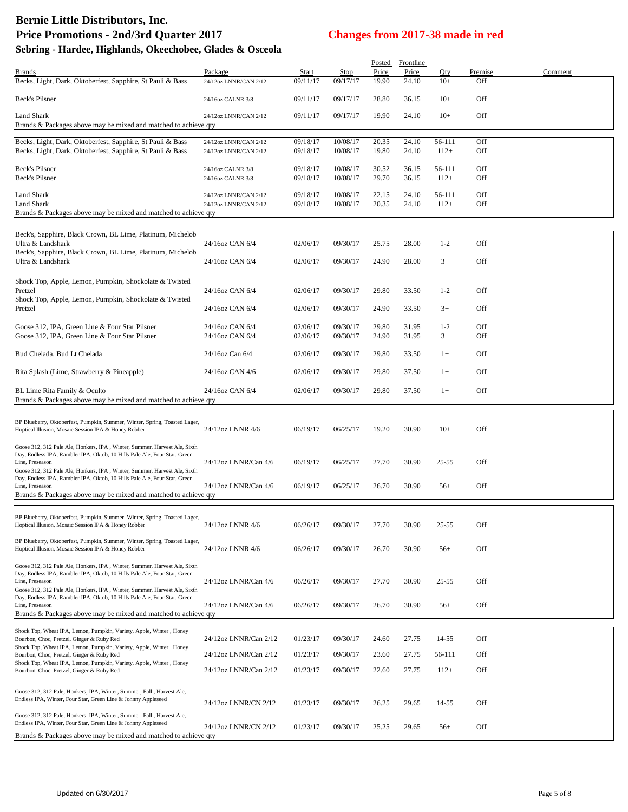|                                                                                                                                                                           |                                                |                      |                      |                | Posted Frontline |                  |                |         |
|---------------------------------------------------------------------------------------------------------------------------------------------------------------------------|------------------------------------------------|----------------------|----------------------|----------------|------------------|------------------|----------------|---------|
| Brands<br>Becks, Light, Dark, Oktoberfest, Sapphire, St Pauli & Bass                                                                                                      | Package<br>24/12oz LNNR/CAN 2/12               | Start<br>09/11/17    | Stop<br>09/17/17     | Price<br>19.90 | Price<br>24.10   | Oty<br>$10+$     | Premise<br>Off | Comment |
| <b>Beck's Pilsner</b>                                                                                                                                                     | 24/16oz CALNR 3/8                              | 09/11/17             | 09/17/17             | 28.80          | 36.15            | $10+$            | Off            |         |
|                                                                                                                                                                           |                                                |                      |                      |                |                  |                  |                |         |
| Land Shark<br>Brands & Packages above may be mixed and matched to achieve qty                                                                                             | 24/12oz LNNR/CAN 2/12                          | 09/11/17             | 09/17/17             | 19.90          | 24.10            | $10+$            | Off            |         |
| Becks, Light, Dark, Oktoberfest, Sapphire, St Pauli & Bass                                                                                                                | 24/12oz LNNR/CAN 2/12                          | 09/18/17             | 10/08/17             | 20.35          | 24.10            | 56-111           | Off            |         |
| Becks, Light, Dark, Oktoberfest, Sapphire, St Pauli & Bass                                                                                                                | 24/12oz LNNR/CAN 2/12                          | 09/18/17             | 10/08/17             | 19.80          | 24.10            | $112+$           | Off            |         |
| Beck's Pilsner<br>Beck's Pilsner                                                                                                                                          | 24/16oz CALNR 3/8<br>24/16oz CALNR 3/8         | 09/18/17<br>09/18/17 | 10/08/17<br>10/08/17 | 30.52<br>29.70 | 36.15<br>36.15   | 56-111<br>$112+$ | Off<br>Off     |         |
| Land Shark<br><b>Land Shark</b>                                                                                                                                           | 24/12oz LNNR/CAN 2/12<br>24/12oz LNNR/CAN 2/12 | 09/18/17<br>09/18/17 | 10/08/17<br>10/08/17 | 22.15<br>20.35 | 24.10<br>24.10   | 56-111<br>$112+$ | Off<br>Off     |         |
| Brands & Packages above may be mixed and matched to achieve qty                                                                                                           |                                                |                      |                      |                |                  |                  |                |         |
| Beck's, Sapphire, Black Crown, BL Lime, Platinum, Michelob                                                                                                                |                                                |                      |                      |                |                  |                  |                |         |
| Ultra & Landshark                                                                                                                                                         | 24/16oz CAN 6/4                                | 02/06/17             | 09/30/17             | 25.75          | 28.00            | $1-2$            | Off            |         |
| Beck's, Sapphire, Black Crown, BL Lime, Platinum, Michelob<br>Ultra & Landshark                                                                                           | 24/16oz CAN 6/4                                | 02/06/17             | 09/30/17             | 24.90          | 28.00            | $3+$             | Off            |         |
| Shock Top, Apple, Lemon, Pumpkin, Shockolate & Twisted                                                                                                                    |                                                |                      |                      |                |                  |                  |                |         |
| Pretzel<br>Shock Top, Apple, Lemon, Pumpkin, Shockolate & Twisted                                                                                                         | 24/16oz CAN 6/4                                | 02/06/17             | 09/30/17             | 29.80          | 33.50            | $1 - 2$          | Off            |         |
| Pretzel                                                                                                                                                                   | 24/16oz CAN 6/4                                | 02/06/17             | 09/30/17             | 24.90          | 33.50            | $3+$             | Off            |         |
| Goose 312, IPA, Green Line & Four Star Pilsner                                                                                                                            | 24/16oz CAN 6/4                                | 02/06/17             | 09/30/17             | 29.80          | 31.95            | $1 - 2$          | Off            |         |
| Goose 312, IPA, Green Line & Four Star Pilsner                                                                                                                            | 24/16oz CAN 6/4                                | 02/06/17             | 09/30/17             | 24.90          | 31.95            | $3+$             | Off            |         |
| Bud Chelada, Bud Lt Chelada                                                                                                                                               | 24/16oz Can 6/4                                | 02/06/17             | 09/30/17             | 29.80          | 33.50            | $1+$             | Off            |         |
| Rita Splash (Lime, Strawberry & Pineapple)                                                                                                                                | 24/16oz CAN 4/6                                | 02/06/17             | 09/30/17             | 29.80          | 37.50            | $1+$             | Off            |         |
| BL Lime Rita Family & Oculto<br>Brands & Packages above may be mixed and matched to achieve qty                                                                           | 24/16oz CAN 6/4                                | 02/06/17             | 09/30/17             | 29.80          | 37.50            | $1+$             | Off            |         |
|                                                                                                                                                                           |                                                |                      |                      |                |                  |                  |                |         |
| BP Blueberry, Oktoberfest, Pumpkin, Summer, Winter, Spring, Toasted Lager,<br>Hoptical Illusion, Mosaic Session IPA & Honey Robber                                        | 24/12oz LNNR 4/6                               | 06/19/17             | 06/25/17             | 19.20          | 30.90            | $10+$            | Off            |         |
| Goose 312, 312 Pale Ale, Honkers, IPA, Winter, Summer, Harvest Ale, Sixth<br>Day, Endless IPA, Rambler IPA, Oktob, 10 Hills Pale Ale, Four Star, Green                    |                                                |                      |                      |                |                  |                  |                |         |
| Line, Preseason                                                                                                                                                           | 24/12oz LNNR/Can 4/6                           | 06/19/17             | 06/25/17             | 27.70          | 30.90            | $25 - 55$        | Off            |         |
| Goose 312, 312 Pale Ale, Honkers, IPA, Winter, Summer, Harvest Ale, Sixth<br>Day, Endless IPA, Rambler IPA, Oktob, 10 Hills Pale Ale, Four Star, Green<br>Line. Preseason | 24/12oz LNNR/Can 4/6                           | 06/19/17             | 06/25/17             | 26.70          | 30.90            | $56+$            | Off            |         |
| Brands & Packages above may be mixed and matched to achieve qty                                                                                                           |                                                |                      |                      |                |                  |                  |                |         |
|                                                                                                                                                                           |                                                |                      |                      |                |                  |                  |                |         |
| BP Blueberry, Oktoberfest, Pumpkin, Summer, Winter, Spring, Toasted Lager,<br>Hoptical Illusion, Mosaic Session IPA & Honey Robber                                        | 24/12oz LNNR 4/6                               | 06/26/17             | 09/30/17             | 27.70          | 30.90            | 25-55            | Off            |         |
| BP Blueberry, Oktoberfest, Pumpkin, Summer, Winter, Spring, Toasted Lager,<br>Hoptical Illusion, Mosaic Session IPA & Honey Robber                                        | 24/12oz LNNR 4/6                               | 06/26/17             | 09/30/17             | 26.70          | 30.90            | $56+$            | Off            |         |
|                                                                                                                                                                           |                                                |                      |                      |                |                  |                  |                |         |
| Goose 312, 312 Pale Ale, Honkers, IPA, Winter, Summer, Harvest Ale, Sixth<br>Day, Endless IPA, Rambler IPA, Oktob, 10 Hills Pale Ale, Four Star, Green<br>Line, Preseason | 24/12oz LNNR/Can 4/6                           | 06/26/17             | 09/30/17             | 27.70          | 30.90            | $25 - 55$        | Off            |         |
| Goose 312, 312 Pale Ale, Honkers, IPA, Winter, Summer, Harvest Ale, Sixth                                                                                                 |                                                |                      |                      |                |                  |                  |                |         |
| Day, Endless IPA, Rambler IPA, Oktob, 10 Hills Pale Ale, Four Star, Green<br>Line, Preseason                                                                              | 24/12oz LNNR/Can 4/6                           | 06/26/17             | 09/30/17             | 26.70          | 30.90            | $56+$            | Off            |         |
| Brands & Packages above may be mixed and matched to achieve qty                                                                                                           |                                                |                      |                      |                |                  |                  |                |         |
| Shock Top, Wheat IPA, Lemon, Pumpkin, Variety, Apple, Winter, Honey<br>Bourbon, Choc, Pretzel, Ginger & Ruby Red                                                          | 24/12oz LNNR/Can 2/12                          | 01/23/17             | 09/30/17             | 24.60          | 27.75            | 14-55            | Off            |         |
| Shock Top, Wheat IPA, Lemon, Pumpkin, Variety, Apple, Winter, Honey<br>Bourbon, Choc, Pretzel, Ginger & Ruby Red                                                          | 24/12oz LNNR/Can 2/12                          | 01/23/17             | 09/30/17             | 23.60          | 27.75            | 56-111           | Off            |         |
| Shock Top, Wheat IPA, Lemon, Pumpkin, Variety, Apple, Winter, Honey                                                                                                       |                                                |                      |                      |                |                  |                  |                |         |
| Bourbon, Choc, Pretzel, Ginger & Ruby Red                                                                                                                                 | 24/12oz LNNR/Can 2/12                          | 01/23/17             | 09/30/17             | 22.60          | 27.75            | $112+$           | Off            |         |
| Goose 312, 312 Pale, Honkers, IPA, Winter, Summer, Fall, Harvest Ale,                                                                                                     |                                                |                      |                      |                |                  |                  |                |         |
| Endless IPA, Winter, Four Star, Green Line & Johnny Appleseed                                                                                                             | 24/12oz LNNR/CN 2/12                           | 01/23/17             | 09/30/17             | 26.25          | 29.65            | 14-55            | Off            |         |
| Goose 312, 312 Pale, Honkers, IPA, Winter, Summer, Fall, Harvest Ale,<br>Endless IPA, Winter, Four Star, Green Line & Johnny Appleseed                                    | 24/12oz LNNR/CN 2/12                           | 01/23/17             | 09/30/17             | 25.25          | 29.65            | $56+$            | Off            |         |
| Brands & Packages above may be mixed and matched to achieve qty                                                                                                           |                                                |                      |                      |                |                  |                  |                |         |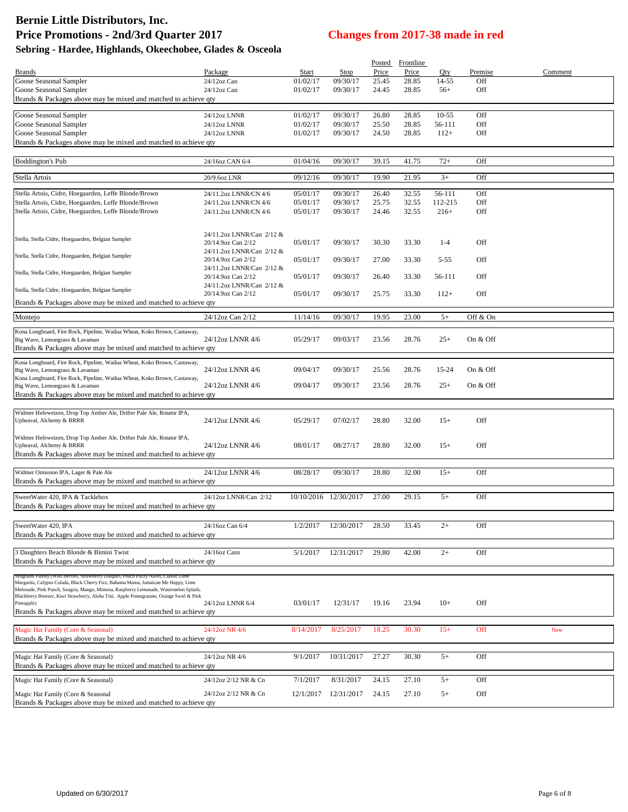|                                                                                                                                                                                 |                                                 |                      |                       | Posted         | Frontline      |                   |            |         |
|---------------------------------------------------------------------------------------------------------------------------------------------------------------------------------|-------------------------------------------------|----------------------|-----------------------|----------------|----------------|-------------------|------------|---------|
| <b>Brands</b>                                                                                                                                                                   | Package                                         | Start                | Stop                  | Price          | Price          | Oty               | Premise    | Comment |
| Goose Seasonal Sampler                                                                                                                                                          | 24/12oz Can                                     | 01/02/17             | 09/30/17              | 25.45          | 28.85          | 14-55             | Off        |         |
| Goose Seasonal Sampler<br>Brands & Packages above may be mixed and matched to achieve qty                                                                                       | 24/12oz Can                                     | 01/02/17             | 09/30/17              | 24.45          | 28.85          | $56+$             | Off        |         |
|                                                                                                                                                                                 |                                                 |                      |                       |                |                |                   |            |         |
| Goose Seasonal Sampler                                                                                                                                                          | 24/12oz LNNR                                    | 01/02/17             | 09/30/17              | 26.80          | 28.85          | $10-55$           | Off        |         |
| Goose Seasonal Sampler<br>Goose Seasonal Sampler                                                                                                                                | 24/12oz LNNR<br>24/12oz LNNR                    | 01/02/17<br>01/02/17 | 09/30/17<br>09/30/17  | 25.50<br>24.50 | 28.85<br>28.85 | 56-111<br>$112+$  | Off<br>Off |         |
| Brands & Packages above may be mixed and matched to achieve qty                                                                                                                 |                                                 |                      |                       |                |                |                   |            |         |
|                                                                                                                                                                                 |                                                 |                      |                       |                |                |                   |            |         |
| Boddington's Pub                                                                                                                                                                | 24/16oz CAN 6/4                                 | 01/04/16             | 09/30/17              | 39.15          | 41.75          | $72+$             | Off        |         |
| Stella Artois                                                                                                                                                                   | 20/9.6oz LNR                                    | 09/12/16             | 09/30/17              | 19.90          | 21.95          | $3+$              | Off        |         |
|                                                                                                                                                                                 |                                                 |                      |                       |                |                |                   |            |         |
| Stella Artois, Cidre, Hoegaarden, Leffe Blonde/Brown                                                                                                                            | 24/11.2oz LNNR/CN 4/6                           | 05/01/17             | 09/30/17              | 26.40          | 32.55          | 56-111            | Off        |         |
| Stella Artois, Cidre, Hoegaarden, Leffe Blonde/Brown<br>Stella Artois, Cidre, Hoegaarden, Leffe Blonde/Brown                                                                    | 24/11.2oz LNNR/CN 4/6<br>24/11.2oz LNNR/CN 4/6  | 05/01/17<br>05/01/17 | 09/30/17<br>09/30/17  | 25.75<br>24.46 | 32.55<br>32.55 | 112-215<br>$216+$ | Off<br>Off |         |
|                                                                                                                                                                                 |                                                 |                      |                       |                |                |                   |            |         |
|                                                                                                                                                                                 | 24/11.2oz LNNR/Can 2/12 &                       |                      |                       |                |                |                   |            |         |
| Stella, Stella Cidre, Hoegaarden, Belgian Sampler                                                                                                                               | 20/14.9oz Can 2/12                              | 05/01/17             | 09/30/17              | 30.30          | 33.30          | $1 - 4$           | Off        |         |
|                                                                                                                                                                                 | 24/11.2oz LNNR/Can 2/12 &                       |                      |                       |                |                |                   |            |         |
| Stella, Stella Cidre, Hoegaarden, Belgian Sampler                                                                                                                               | 20/14.9oz Can 2/12                              | 05/01/17             | 09/30/17              | 27.00          | 33.30          | $5 - 55$          | Off        |         |
| Stella, Stella Cidre, Hoegaarden, Belgian Sampler                                                                                                                               | 24/11.2oz LNNR/Can 2/12 &<br>20/14.9oz Can 2/12 | 05/01/17             | 09/30/17              | 26.40          | 33.30          | 56-111            | Off        |         |
|                                                                                                                                                                                 | 24/11.2oz LNNR/Can 2/12 &                       |                      |                       |                |                |                   |            |         |
| Stella, Stella Cidre, Hoegaarden, Belgian Sampler                                                                                                                               | 20/14.9oz Can 2/12                              | 05/01/17             | 09/30/17              | 25.75          | 33.30          | $112+$            | Off        |         |
| Brands & Packages above may be mixed and matched to achieve qty                                                                                                                 |                                                 |                      |                       |                |                |                   |            |         |
| Montejo                                                                                                                                                                         | 24/12oz Can 2/12                                | 11/14/16             | 09/30/17              | 19.95          | 23.00          | $5+$              | Off & On   |         |
| Kona Longboard, Fire Rock, Pipeline, Wailua Wheat, Koko Brown, Castaway,                                                                                                        |                                                 |                      |                       |                |                |                   |            |         |
| Big Wave, Lemongrass & Lavaman                                                                                                                                                  | 24/12oz LNNR 4/6                                | 05/29/17             | 09/03/17              | 23.56          | 28.76          | $25+$             | On & Off   |         |
| Brands & Packages above may be mixed and matched to achieve qty                                                                                                                 |                                                 |                      |                       |                |                |                   |            |         |
| Kona Longboard, Fire Rock, Pipeline, Wailua Wheat, Koko Brown, Castaway,                                                                                                        |                                                 |                      |                       |                |                |                   |            |         |
| Big Wave, Lemongrass & Lavaman                                                                                                                                                  | 24/12oz LNNR 4/6                                | 09/04/17             | 09/30/17              | 25.56          | 28.76          | 15-24             | On & Off   |         |
| Kona Longboard, Fire Rock, Pipeline, Wailua Wheat, Koko Brown, Castaway,<br>Big Wave, Lemongrass & Lavaman                                                                      | 24/12oz LNNR 4/6                                | 09/04/17             | 09/30/17              | 23.56          | 28.76          | $25+$             | On & Off   |         |
| Brands & Packages above may be mixed and matched to achieve qty                                                                                                                 |                                                 |                      |                       |                |                |                   |            |         |
|                                                                                                                                                                                 |                                                 |                      |                       |                |                |                   |            |         |
| Widmer Hefeweizen, Drop Top Amber Ale, Drifter Pale Ale, Rotator IPA,                                                                                                           |                                                 |                      |                       |                |                |                   |            |         |
| Upheaval, Alchemy & BRRR                                                                                                                                                        | 24/12oz LNNR 4/6                                | 05/29/17             | 07/02/17              | 28.80          | 32.00          | $15+$             | Off        |         |
| Widmer Hefeweizen, Drop Top Amber Ale, Drifter Pale Ale, Rotator IPA,                                                                                                           |                                                 |                      |                       |                |                |                   |            |         |
| Upheaval, Alchemy & BRRR                                                                                                                                                        | 24/12oz LNNR 4/6                                | 08/01/17             | 08/27/17              | 28.80          | 32.00          | $15+$             | Off        |         |
| Brands & Packages above may be mixed and matched to achieve qty                                                                                                                 |                                                 |                      |                       |                |                |                   |            |         |
| Widmer Omission IPA, Lager & Pale Ale                                                                                                                                           | 24/12oz LNNR 4/6                                | 08/28/17             | 09/30/17              | 28.80          | 32.00          | $15+$             | Off        |         |
| Brands & Packages above may be mixed and matched to achieve qty                                                                                                                 |                                                 |                      |                       |                |                |                   |            |         |
| SweetWater 420, IPA & Tacklebox                                                                                                                                                 | 24/12oz LNNR/Can 2/12                           |                      | 10/10/2016 12/30/2017 | 27.00          | 29.15          | $5+$              | Off        |         |
| Brands & Packages above may be mixed and matched to achieve qty                                                                                                                 |                                                 |                      |                       |                |                |                   |            |         |
|                                                                                                                                                                                 |                                                 |                      |                       |                |                |                   |            |         |
| SweetWater 420, IPA                                                                                                                                                             | 24/16oz Can 6/4                                 | 1/2/2017             | 12/30/2017            | 28.50          | 33.45          | $2+$              | Off        |         |
| Brands & Packages above may be mixed and matched to achieve qty                                                                                                                 |                                                 |                      |                       |                |                |                   |            |         |
|                                                                                                                                                                                 | 24/16oz Cans                                    |                      |                       |                |                | $2+$              | Off        |         |
| 3 Daughters Beach Blonde & Bimini Twist<br>Brands & Packages above may be mixed and matched to achieve qty                                                                      |                                                 | 5/1/2017             | 12/31/2017            | 29.80          | 42.00          |                   |            |         |
|                                                                                                                                                                                 |                                                 |                      |                       |                |                |                   |            |         |
| Seagrams Family (Wild Berries, Strawberry Daiguiri, Peach Fuzzy Navel, C<br>Margarita, Calypso Colada, Black Cherry Fizz, Bahama Mama, Jamaican Me Happy, Lime                  |                                                 |                      |                       |                |                |                   |            |         |
| Melonade, Pink Punch, Sangria, Mango, Mimosa, Raspberry Lemonade, Watermelon Splash,<br>Blackberry Breezer, Kiwi Strawberry, Aloha Tini, Apple Pomegranate, Orange Swirl & Pink |                                                 |                      |                       |                |                |                   |            |         |
| Pineapple)                                                                                                                                                                      | 24/12oz LNNR 6/4                                | 03/01/17             | 12/31/17              | 19.16          | 23.94          | $10+$             | Off        |         |
| Brands & Packages above may be mixed and matched to achieve qty                                                                                                                 |                                                 |                      |                       |                |                |                   |            |         |
|                                                                                                                                                                                 |                                                 |                      |                       |                |                |                   |            |         |
| Magic Hat Family (Core & Seasonal)<br>Brands & Packages above may be mixed and matched to achieve qty                                                                           | 24/12oz NR 4/6                                  | 8/14/2017            | 8/25/2017             | 18.25          | 30.30          | $15+$             | Off        | New     |
|                                                                                                                                                                                 |                                                 |                      |                       |                |                |                   |            |         |
| Magic Hat Family (Core & Seasonal)                                                                                                                                              | 24/12oz NR 4/6                                  | 9/1/2017             | 10/31/2017            | 27.27          | 30.30          | $5+$              | Off        |         |
| Brands & Packages above may be mixed and matched to achieve qty                                                                                                                 |                                                 |                      |                       |                |                |                   |            |         |
| Magic Hat Family (Core & Seasonal)                                                                                                                                              | 24/12oz 2/12 NR & Cn                            | 7/1/2017             | 8/31/2017             | 24.15          | 27.10          | $5+$              | Off        |         |
| Magic Hat Family (Core & Seasonal                                                                                                                                               | 24/12oz 2/12 NR & Cn                            | 12/1/2017            | 12/31/2017            | 24.15          | 27.10          | $5+$              | Off        |         |
| Brands & Packages above may be mixed and matched to achieve qty                                                                                                                 |                                                 |                      |                       |                |                |                   |            |         |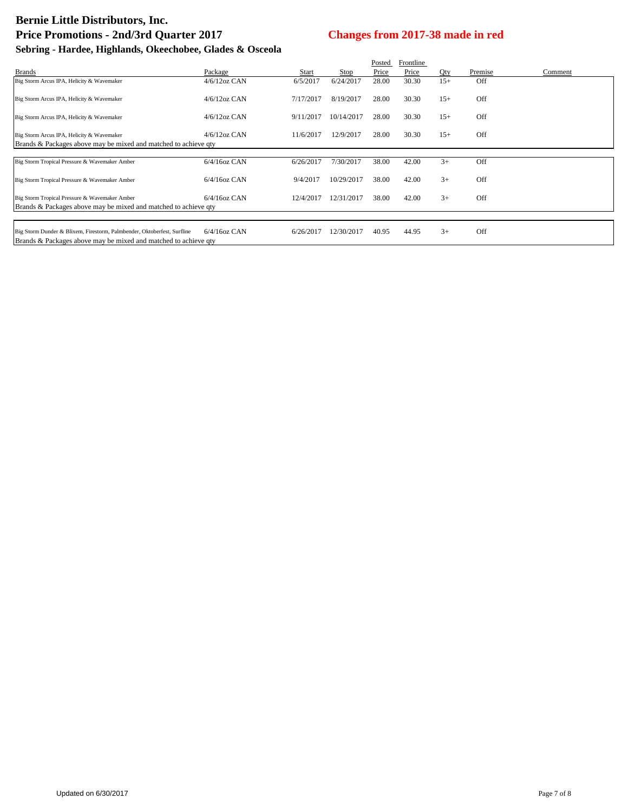|                                                                                                                                                                                           |                 |           |            | Posted | Frontline |       |         |         |
|-------------------------------------------------------------------------------------------------------------------------------------------------------------------------------------------|-----------------|-----------|------------|--------|-----------|-------|---------|---------|
| <b>Brands</b>                                                                                                                                                                             | Package         | Start     | Stop       | Price  | Price     | Qty   | Premise | Comment |
| Big Storm Arcus IPA, Helicity & Wavemaker                                                                                                                                                 | $4/6/12$ oz CAN | 6/5/2017  | 6/24/2017  | 28.00  | 30.30     | $15+$ | Off     |         |
| Big Storm Arcus IPA, Helicity & Wavemaker                                                                                                                                                 | $4/6/12$ oz CAN | 7/17/2017 | 8/19/2017  | 28.00  | 30.30     | $15+$ | Off     |         |
| Big Storm Arcus IPA, Helicity & Wavemaker                                                                                                                                                 | $4/6/12$ oz CAN | 9/11/2017 | 10/14/2017 | 28.00  | 30.30     | $15+$ | Off     |         |
| Big Storm Arcus IPA, Helicity & Wavemaker                                                                                                                                                 | $4/6/12$ oz CAN | 11/6/2017 | 12/9/2017  | 28.00  | 30.30     | $15+$ | Off     |         |
| Brands & Packages above may be mixed and matched to achieve gty                                                                                                                           |                 |           |            |        |           |       |         |         |
| Big Storm Tropical Pressure & Wavemaker Amber                                                                                                                                             | $6/4/16$ oz CAN | 6/26/2017 | 7/30/2017  | 38.00  | 42.00     | $3+$  | Off     |         |
| Big Storm Tropical Pressure & Wavemaker Amber                                                                                                                                             | $6/4/16$ oz CAN | 9/4/2017  | 10/29/2017 | 38.00  | 42.00     | $3+$  | Off     |         |
| Big Storm Tropical Pressure & Wavemaker Amber<br>Brands & Packages above may be mixed and matched to achieve qty                                                                          | $6/4/16$ oz CAN | 12/4/2017 | 12/31/2017 | 38.00  | 42.00     | $3+$  | Off     |         |
|                                                                                                                                                                                           |                 |           |            |        |           |       |         |         |
| Big Storm Dunder & Blixem, Firestorm, Palmbender, Oktoberfest, Surfline<br>I Daniel II - 0. De elección el componente de antarcio de antiguos de la contexta de la contexta de la context | $6/4/16$ oz CAN | 6/26/2017 | 12/30/2017 | 40.95  | 44.95     | $3+$  | Off     |         |

Brands & Packages above may be mixed and matched to achieve qty